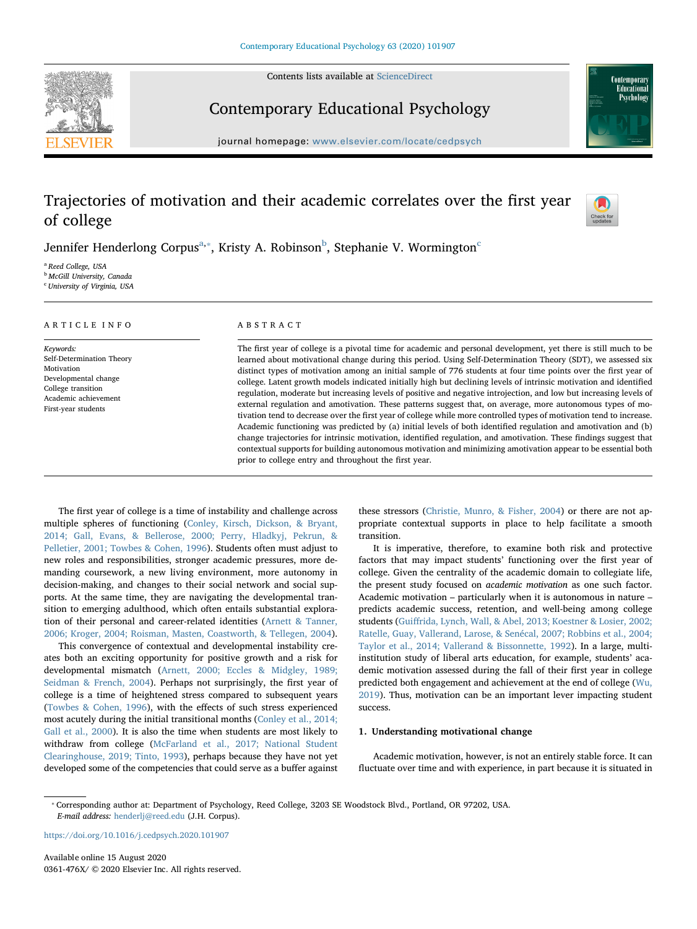Contents lists available at [ScienceDirect](http://www.sciencedirect.com/science/journal/0361476X)





# Contemporary Educational Psychology

journal homepage: [www.elsevier.com/locate/cedpsych](https://www.elsevier.com/locate/cedpsych)

# Trajectories of motivation and their academic correlates over the first year of college



Jennifer Henderlong Corpus $^{\mathrm{a},*}$  $^{\mathrm{a},*}$  $^{\mathrm{a},*}$ , Kristy A. Ro[b](#page-0-2)inson $^{\mathrm{b}}$ , Stephanie V. Wormington $^{\mathrm{c}}$  $^{\mathrm{c}}$  $^{\mathrm{c}}$ 

<span id="page-0-0"></span><sup>a</sup> Reed College, USA

<span id="page-0-2"></span>**b** McGill University, Canada

<span id="page-0-3"></span><sup>c</sup> University of Virginia, USA

# ARTICLE INFO

Keywords: Self-Determination Theory Motivation Developmental change College transition Academic achievement First-year students

#### ABSTRACT

The first year of college is a pivotal time for academic and personal development, yet there is still much to be learned about motivational change during this period. Using Self-Determination Theory (SDT), we assessed six distinct types of motivation among an initial sample of 776 students at four time points over the first year of college. Latent growth models indicated initially high but declining levels of intrinsic motivation and identified regulation, moderate but increasing levels of positive and negative introjection, and low but increasing levels of external regulation and amotivation. These patterns suggest that, on average, more autonomous types of motivation tend to decrease over the first year of college while more controlled types of motivation tend to increase. Academic functioning was predicted by (a) initial levels of both identified regulation and amotivation and (b) change trajectories for intrinsic motivation, identified regulation, and amotivation. These findings suggest that contextual supports for building autonomous motivation and minimizing amotivation appear to be essential both prior to college entry and throughout the first year.

The first year of college is a time of instability and challenge across multiple spheres of functioning [\(Conley, Kirsch, Dickson, & Bryant,](#page-12-0) [2014; Gall, Evans, & Bellerose, 2000; Perry, Hladkyj, Pekrun, &](#page-12-0) [Pelletier, 2001; Towbes & Cohen, 1996\)](#page-12-0). Students often must adjust to new roles and responsibilities, stronger academic pressures, more demanding coursework, a new living environment, more autonomy in decision-making, and changes to their social network and social supports. At the same time, they are navigating the developmental transition to emerging adulthood, which often entails substantial exploration of their personal and career-related identities ([Arnett & Tanner,](#page-12-1) [2006; Kroger, 2004; Roisman, Masten, Coastworth, & Tellegen, 2004](#page-12-1)).

This convergence of contextual and developmental instability creates both an exciting opportunity for positive growth and a risk for developmental mismatch ([Arnett, 2000; Eccles & Midgley, 1989;](#page-12-2) [Seidman & French, 2004](#page-12-2)). Perhaps not surprisingly, the first year of college is a time of heightened stress compared to subsequent years ([Towbes & Cohen, 1996\)](#page-13-0), with the effects of such stress experienced most acutely during the initial transitional months [\(Conley et al., 2014;](#page-12-0) [Gall et al., 2000](#page-12-0)). It is also the time when students are most likely to withdraw from college [\(McFarland et al., 2017; National Student](#page-13-1) [Clearinghouse, 2019; Tinto, 1993](#page-13-1)), perhaps because they have not yet developed some of the competencies that could serve as a buffer against

these stressors [\(Christie, Munro, & Fisher, 2004](#page-12-3)) or there are not appropriate contextual supports in place to help facilitate a smooth transition.

It is imperative, therefore, to examine both risk and protective factors that may impact students' functioning over the first year of college. Given the centrality of the academic domain to collegiate life, the present study focused on academic motivation as one such factor. Academic motivation – particularly when it is autonomous in nature – predicts academic success, retention, and well-being among college students (Guiff[rida, Lynch, Wall, & Abel, 2013; Koestner & Losier, 2002;](#page-12-4) [Ratelle, Guay, Vallerand, Larose, & Senécal, 2007; Robbins et al., 2004;](#page-12-4) [Taylor et al., 2014; Vallerand & Bissonnette, 1992](#page-12-4)). In a large, multiinstitution study of liberal arts education, for example, students' academic motivation assessed during the fall of their first year in college predicted both engagement and achievement at the end of college [\(Wu,](#page-14-0) [2019\)](#page-14-0). Thus, motivation can be an important lever impacting student success.

#### 1. Understanding motivational change

Academic motivation, however, is not an entirely stable force. It can fluctuate over time and with experience, in part because it is situated in

<span id="page-0-1"></span>⁎ Corresponding author at: Department of Psychology, Reed College, 3203 SE Woodstock Blvd., Portland, OR 97202, USA. E-mail address: [henderlj@reed.edu](mailto:henderlj@reed.edu) (J.H. Corpus).

<https://doi.org/10.1016/j.cedpsych.2020.101907>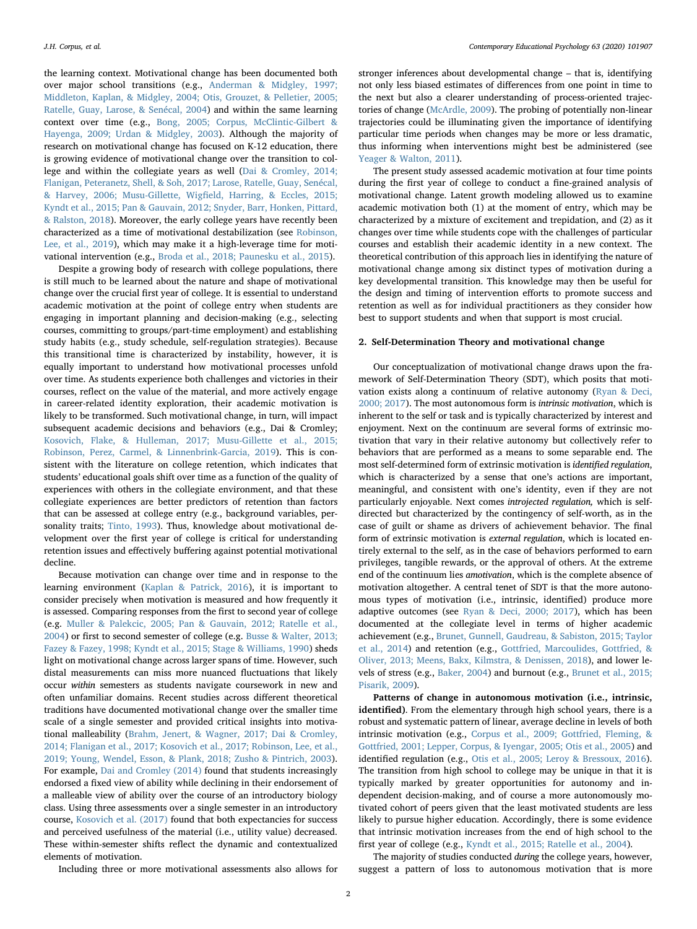the learning context. Motivational change has been documented both over major school transitions (e.g., [Anderman & Midgley, 1997;](#page-12-5) [Middleton, Kaplan, & Midgley, 2004; Otis, Grouzet, & Pelletier, 2005;](#page-12-5) [Ratelle, Guay, Larose, & Senécal, 2004\)](#page-12-5) and within the same learning context over time (e.g., [Bong, 2005; Corpus, McClintic-Gilbert &](#page-12-6) [Hayenga, 2009; Urdan & Midgley, 2003\)](#page-12-6). Although the majority of research on motivational change has focused on K-12 education, there is growing evidence of motivational change over the transition to college and within the collegiate years as well [\(Dai & Cromley, 2014;](#page-12-7) [Flanigan, Peteranetz, Shell, & Soh, 2017; Larose, Ratelle, Guay, Senécal,](#page-12-7) [& Harvey, 2006; Musu-Gillette, Wig](#page-12-7)field, Harring, & Eccles, 2015; [Kyndt et al., 2015; Pan & Gauvain, 2012; Snyder, Barr, Honken, Pittard,](#page-12-7) [& Ralston, 2018](#page-12-7)). Moreover, the early college years have recently been characterized as a time of motivational destabilization (see [Robinson,](#page-13-2) [Lee, et al., 2019](#page-13-2)), which may make it a high-leverage time for motivational intervention (e.g., [Broda et al., 2018; Paunesku et al., 2015](#page-12-8)).

Despite a growing body of research with college populations, there is still much to be learned about the nature and shape of motivational change over the crucial first year of college. It is essential to understand academic motivation at the point of college entry when students are engaging in important planning and decision-making (e.g., selecting courses, committing to groups/part-time employment) and establishing study habits (e.g., study schedule, self-regulation strategies). Because this transitional time is characterized by instability, however, it is equally important to understand how motivational processes unfold over time. As students experience both challenges and victories in their courses, reflect on the value of the material, and more actively engage in career-related identity exploration, their academic motivation is likely to be transformed. Such motivational change, in turn, will impact subsequent academic decisions and behaviors (e.g., Dai & Cromley; [Kosovich, Flake, & Hulleman, 2017; Musu-Gillette et al., 2015;](#page-13-3) [Robinson, Perez, Carmel, & Linnenbrink-Garcia, 2019\)](#page-13-3). This is consistent with the literature on college retention, which indicates that students' educational goals shift over time as a function of the quality of experiences with others in the collegiate environment, and that these collegiate experiences are better predictors of retention than factors that can be assessed at college entry (e.g., background variables, personality traits; [Tinto, 1993](#page-13-4)). Thus, knowledge about motivational development over the first year of college is critical for understanding retention issues and effectively buffering against potential motivational decline.

Because motivation can change over time and in response to the learning environment ([Kaplan & Patrick, 2016](#page-13-5)), it is important to consider precisely when motivation is measured and how frequently it is assessed. Comparing responses from the first to second year of college (e.g. [Muller & Palekcic, 2005; Pan & Gauvain, 2012; Ratelle et al.,](#page-13-6) [2004\)](#page-13-6) or first to second semester of college (e.g. [Busse & Walter, 2013;](#page-12-9) [Fazey & Fazey, 1998; Kyndt et al., 2015; Stage & Williams, 1990](#page-12-9)) sheds light on motivational change across larger spans of time. However, such distal measurements can miss more nuanced fluctuations that likely occur within semesters as students navigate coursework in new and often unfamiliar domains. Recent studies across different theoretical traditions have documented motivational change over the smaller time scale of a single semester and provided critical insights into motivational malleability ([Brahm, Jenert, & Wagner, 2017; Dai & Cromley,](#page-12-10) [2014; Flanigan et al., 2017; Kosovich et al., 2017; Robinson, Lee, et al.,](#page-12-10) [2019; Young, Wendel, Esson, & Plank, 2018; Zusho & Pintrich, 2003](#page-12-10)). For example, Dai [and Cromley \(2014\)](#page-12-7) found that students increasingly endorsed a fixed view of ability while declining in their endorsement of a malleable view of ability over the course of an introductory biology class. Using three assessments over a single semester in an introductory course, [Kosovich et al. \(2017\)](#page-13-3) found that both expectancies for success and perceived usefulness of the material (i.e., utility value) decreased. These within-semester shifts reflect the dynamic and contextualized elements of motivation.

stronger inferences about developmental change – that is, identifying not only less biased estimates of differences from one point in time to the next but also a clearer understanding of process-oriented trajectories of change ([McArdle, 2009\)](#page-13-7). The probing of potentially non-linear trajectories could be illuminating given the importance of identifying particular time periods when changes may be more or less dramatic, thus informing when interventions might best be administered (see [Yeager & Walton, 2011\)](#page-14-1).

The present study assessed academic motivation at four time points during the first year of college to conduct a fine-grained analysis of motivational change. Latent growth modeling allowed us to examine academic motivation both (1) at the moment of entry, which may be characterized by a mixture of excitement and trepidation, and (2) as it changes over time while students cope with the challenges of particular courses and establish their academic identity in a new context. The theoretical contribution of this approach lies in identifying the nature of motivational change among six distinct types of motivation during a key developmental transition. This knowledge may then be useful for the design and timing of intervention efforts to promote success and retention as well as for individual practitioners as they consider how best to support students and when that support is most crucial.

### 2. Self-Determination Theory and motivational change

Our conceptualization of motivational change draws upon the framework of Self-Determination Theory (SDT), which posits that motivation exists along a continuum of relative autonomy [\(Ryan & Deci,](#page-13-8) [2000; 2017\)](#page-13-8). The most autonomous form is intrinsic motivation, which is inherent to the self or task and is typically characterized by interest and enjoyment. Next on the continuum are several forms of extrinsic motivation that vary in their relative autonomy but collectively refer to behaviors that are performed as a means to some separable end. The most self-determined form of extrinsic motivation is identified regulation, which is characterized by a sense that one's actions are important, meaningful, and consistent with one's identity, even if they are not particularly enjoyable. Next comes introjected regulation, which is selfdirected but characterized by the contingency of self-worth, as in the case of guilt or shame as drivers of achievement behavior. The final form of extrinsic motivation is external regulation, which is located entirely external to the self, as in the case of behaviors performed to earn privileges, tangible rewards, or the approval of others. At the extreme end of the continuum lies amotivation, which is the complete absence of motivation altogether. A central tenet of SDT is that the more autonomous types of motivation (i.e., intrinsic, identified) produce more adaptive outcomes (see [Ryan & Deci, 2000; 2017\)](#page-13-8), which has been documented at the collegiate level in terms of higher academic achievement (e.g., [Brunet, Gunnell, Gaudreau, & Sabiston, 2015; Taylor](#page-12-11) [et al., 2014\)](#page-12-11) and retention (e.g., Gottfried, [Marcoulides, Gottfried, &](#page-12-12) [Oliver, 2013; Meens, Bakx, Kilmstra, & Denissen, 2018\)](#page-12-12), and lower levels of stress (e.g., [Baker, 2004\)](#page-12-13) and burnout (e.g., [Brunet et al., 2015;](#page-12-11) [Pisarik, 2009](#page-12-11)).

Patterns of change in autonomous motivation (i.e., intrinsic, identified). From the elementary through high school years, there is a robust and systematic pattern of linear, average decline in levels of both intrinsic motivation (e.g., [Corpus et al., 2009; Gottfried, Fleming, &](#page-12-14) [Gottfried, 2001; Lepper, Corpus, & Iyengar, 2005; Otis et al., 2005](#page-12-14)) and identified regulation (e.g., [Otis et al., 2005; Leroy & Bressoux, 2016](#page-13-9)). The transition from high school to college may be unique in that it is typically marked by greater opportunities for autonomy and independent decision-making, and of course a more autonomously motivated cohort of peers given that the least motivated students are less likely to pursue higher education. Accordingly, there is some evidence that intrinsic motivation increases from the end of high school to the first year of college (e.g., [Kyndt et al., 2015; Ratelle et al., 2004\)](#page-13-10).

Including three or more motivational assessments also allows for

The majority of studies conducted during the college years, however, suggest a pattern of loss to autonomous motivation that is more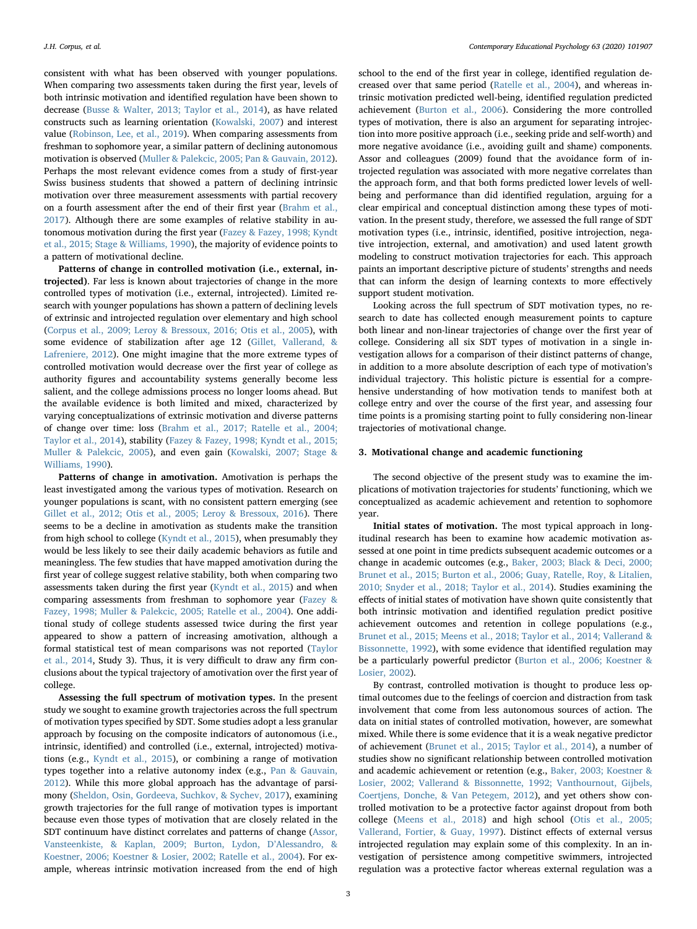consistent with what has been observed with younger populations. When comparing two assessments taken during the first year, levels of both intrinsic motivation and identified regulation have been shown to decrease [\(Busse & Walter, 2013; Taylor et al., 2014](#page-12-9)), as have related constructs such as learning orientation [\(Kowalski, 2007\)](#page-13-11) and interest value [\(Robinson, Lee, et al., 2019\)](#page-13-2). When comparing assessments from freshman to sophomore year, a similar pattern of declining autonomous motivation is observed ([Muller & Palekcic, 2005; Pan & Gauvain, 2012](#page-13-6)). Perhaps the most relevant evidence comes from a study of first-year Swiss business students that showed a pattern of declining intrinsic motivation over three measurement assessments with partial recovery on a fourth assessment after the end of their first year ([Brahm et al.,](#page-12-10) [2017\)](#page-12-10). Although there are some examples of relative stability in autonomous motivation during the first year ([Fazey & Fazey, 1998; Kyndt](#page-12-15) [et al., 2015; Stage & Williams, 1990](#page-12-15)), the majority of evidence points to a pattern of motivational decline.

Patterns of change in controlled motivation (i.e., external, introjected). Far less is known about trajectories of change in the more controlled types of motivation (i.e., external, introjected). Limited research with younger populations has shown a pattern of declining levels of extrinsic and introjected regulation over elementary and high school ([Corpus et al., 2009; Leroy & Bressoux, 2016; Otis et al., 2005](#page-12-14)), with some evidence of stabilization after age 12 ([Gillet, Vallerand, &](#page-12-16) [Lafreniere, 2012](#page-12-16)). One might imagine that the more extreme types of controlled motivation would decrease over the first year of college as authority figures and accountability systems generally become less salient, and the college admissions process no longer looms ahead. But the available evidence is both limited and mixed, characterized by varying conceptualizations of extrinsic motivation and diverse patterns of change over time: loss [\(Brahm et al., 2017; Ratelle et al., 2004;](#page-12-10) [Taylor et al., 2014](#page-12-10)), stability ([Fazey & Fazey, 1998; Kyndt et al., 2015;](#page-12-15) [Muller & Palekcic, 2005](#page-12-15)), and even gain [\(Kowalski, 2007; Stage &](#page-13-11) [Williams, 1990](#page-13-11)).

Patterns of change in amotivation. Amotivation is perhaps the least investigated among the various types of motivation. Research on younger populations is scant, with no consistent pattern emerging (see [Gillet et al., 2012; Otis et al., 2005; Leroy & Bressoux, 2016\)](#page-12-16). There seems to be a decline in amotivation as students make the transition from high school to college [\(Kyndt et al., 2015](#page-13-10)), when presumably they would be less likely to see their daily academic behaviors as futile and meaningless. The few studies that have mapped amotivation during the first year of college suggest relative stability, both when comparing two assessments taken during the first year ([Kyndt et al., 2015\)](#page-13-10) and when comparing assessments from freshman to sophomore year ([Fazey &](#page-12-15) [Fazey, 1998; Muller & Palekcic, 2005; Ratelle et al., 2004\)](#page-12-15). One additional study of college students assessed twice during the first year appeared to show a pattern of increasing amotivation, although a formal statistical test of mean comparisons was not reported ([Taylor](#page-13-12) [et al., 2014](#page-13-12), Study 3). Thus, it is very difficult to draw any firm conclusions about the typical trajectory of amotivation over the first year of college.

Assessing the full spectrum of motivation types. In the present study we sought to examine growth trajectories across the full spectrum of motivation types specified by SDT. Some studies adopt a less granular approach by focusing on the composite indicators of autonomous (i.e., intrinsic, identified) and controlled (i.e., external, introjected) motivations (e.g., [Kyndt et al., 2015](#page-13-10)), or combining a range of motivation types together into a relative autonomy index (e.g., [Pan & Gauvain,](#page-13-13) [2012\)](#page-13-13). While this more global approach has the advantage of parsimony ([Sheldon, Osin, Gordeeva, Suchkov, & Sychev, 2017](#page-13-14)), examining growth trajectories for the full range of motivation types is important because even those types of motivation that are closely related in the SDT continuum have distinct correlates and patterns of change [\(Assor,](#page-12-17) [Vansteenkiste, & Kaplan, 2009; Burton, Lydon, D](#page-12-17)'Alessandro, & [Koestner, 2006; Koestner & Losier, 2002; Ratelle et al., 2004\)](#page-12-17). For example, whereas intrinsic motivation increased from the end of high school to the end of the first year in college, identified regulation decreased over that same period [\(Ratelle et al., 2004](#page-13-15)), and whereas intrinsic motivation predicted well-being, identified regulation predicted achievement [\(Burton et al., 2006](#page-12-18)). Considering the more controlled types of motivation, there is also an argument for separating introjection into more positive approach (i.e., seeking pride and self-worth) and more negative avoidance (i.e., avoiding guilt and shame) components. Assor and colleagues (2009) found that the avoidance form of introjected regulation was associated with more negative correlates than the approach form, and that both forms predicted lower levels of wellbeing and performance than did identified regulation, arguing for a clear empirical and conceptual distinction among these types of motivation. In the present study, therefore, we assessed the full range of SDT motivation types (i.e., intrinsic, identified, positive introjection, negative introjection, external, and amotivation) and used latent growth modeling to construct motivation trajectories for each. This approach paints an important descriptive picture of students' strengths and needs that can inform the design of learning contexts to more effectively support student motivation.

Looking across the full spectrum of SDT motivation types, no research to date has collected enough measurement points to capture both linear and non-linear trajectories of change over the first year of college. Considering all six SDT types of motivation in a single investigation allows for a comparison of their distinct patterns of change, in addition to a more absolute description of each type of motivation's individual trajectory. This holistic picture is essential for a comprehensive understanding of how motivation tends to manifest both at college entry and over the course of the first year, and assessing four time points is a promising starting point to fully considering non-linear trajectories of motivational change.

### 3. Motivational change and academic functioning

The second objective of the present study was to examine the implications of motivation trajectories for students' functioning, which we conceptualized as academic achievement and retention to sophomore year.

Initial states of motivation. The most typical approach in longitudinal research has been to examine how academic motivation assessed at one point in time predicts subsequent academic outcomes or a change in academic outcomes (e.g., [Baker, 2003; Black & Deci, 2000;](#page-12-19) [Brunet et al., 2015; Burton et al., 2006; Guay, Ratelle, Roy, & Litalien,](#page-12-19) [2010; Snyder et al., 2018; Taylor et al., 2014](#page-12-19)). Studies examining the effects of initial states of motivation have shown quite consistently that both intrinsic motivation and identified regulation predict positive achievement outcomes and retention in college populations (e.g., [Brunet et al., 2015; Meens et al., 2018; Taylor et al., 2014; Vallerand &](#page-12-11) [Bissonnette, 1992\)](#page-12-11), with some evidence that identified regulation may be a particularly powerful predictor [\(Burton et al., 2006; Koestner &](#page-12-18) [Losier, 2002\)](#page-12-18).

By contrast, controlled motivation is thought to produce less optimal outcomes due to the feelings of coercion and distraction from task involvement that come from less autonomous sources of action. The data on initial states of controlled motivation, however, are somewhat mixed. While there is some evidence that it is a weak negative predictor of achievement ([Brunet et al., 2015; Taylor et al., 2014\)](#page-12-11), a number of studies show no significant relationship between controlled motivation and academic achievement or retention (e.g., [Baker, 2003; Koestner &](#page-12-19) [Losier, 2002; Vallerand & Bissonnette, 1992; Vanthournout, Gijbels,](#page-12-19) [Coertjens, Donche, & Van Petegem, 2012\)](#page-12-19), and yet others show controlled motivation to be a protective factor against dropout from both college [\(Meens et al., 2018\)](#page-13-16) and high school ([Otis et al., 2005;](#page-13-9) [Vallerand, Fortier, & Guay, 1997](#page-13-9)). Distinct effects of external versus introjected regulation may explain some of this complexity. In an investigation of persistence among competitive swimmers, introjected regulation was a protective factor whereas external regulation was a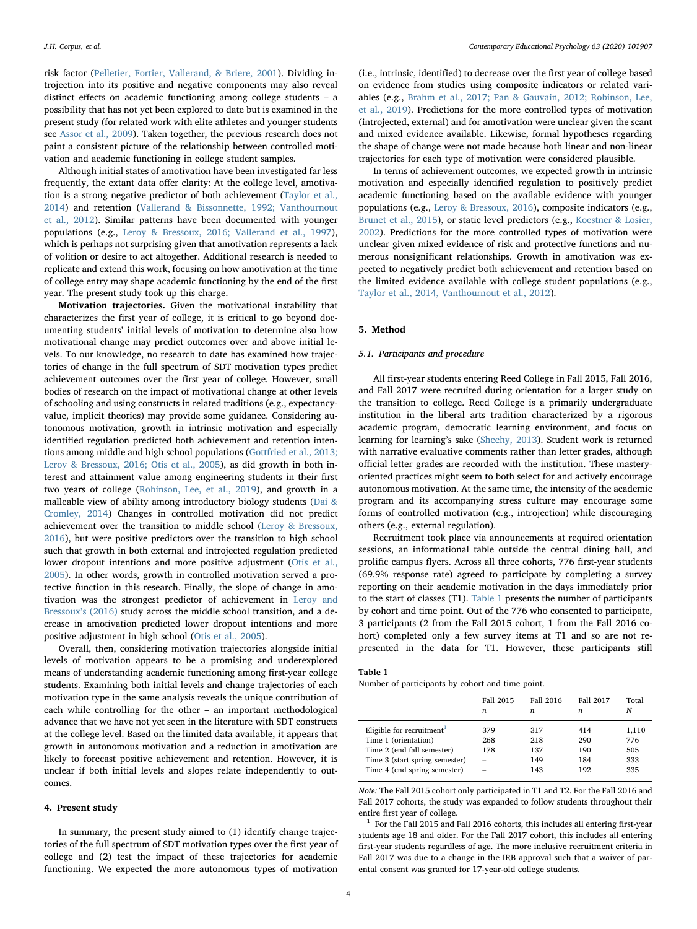risk factor [\(Pelletier, Fortier, Vallerand, & Briere, 2001](#page-13-17)). Dividing introjection into its positive and negative components may also reveal distinct effects on academic functioning among college students – a possibility that has not yet been explored to date but is examined in the present study (for related work with elite athletes and younger students see [Assor et al., 2009\)](#page-12-17). Taken together, the previous research does not paint a consistent picture of the relationship between controlled motivation and academic functioning in college student samples.

Although initial states of amotivation have been investigated far less frequently, the extant data offer clarity: At the college level, amotivation is a strong negative predictor of both achievement [\(Taylor et al.,](#page-13-12) [2014\)](#page-13-12) and retention ([Vallerand & Bissonnette, 1992; Vanthournout](#page-13-18) [et al., 2012\)](#page-13-18). Similar patterns have been documented with younger populations (e.g., [Leroy & Bressoux, 2016; Vallerand et al., 1997](#page-13-19)), which is perhaps not surprising given that amotivation represents a lack of volition or desire to act altogether. Additional research is needed to replicate and extend this work, focusing on how amotivation at the time of college entry may shape academic functioning by the end of the first year. The present study took up this charge.

Motivation trajectories. Given the motivational instability that characterizes the first year of college, it is critical to go beyond documenting students' initial levels of motivation to determine also how motivational change may predict outcomes over and above initial levels. To our knowledge, no research to date has examined how trajectories of change in the full spectrum of SDT motivation types predict achievement outcomes over the first year of college. However, small bodies of research on the impact of motivational change at other levels of schooling and using constructs in related traditions (e.g., expectancyvalue, implicit theories) may provide some guidance. Considering autonomous motivation, growth in intrinsic motivation and especially identified regulation predicted both achievement and retention intentions among middle and high school populations [\(Gottfried et al., 2013;](#page-12-12) [Leroy & Bressoux, 2016; Otis et al., 2005](#page-12-12)), as did growth in both interest and attainment value among engineering students in their first two years of college [\(Robinson, Lee, et al., 2019](#page-13-2)), and growth in a malleable view of ability among introductory biology students [\(Dai &](#page-12-7) [Cromley, 2014](#page-12-7)) Changes in controlled motivation did not predict achievement over the transition to middle school [\(Leroy & Bressoux,](#page-13-19) [2016\)](#page-13-19), but were positive predictors over the transition to high school such that growth in both external and introjected regulation predicted lower dropout intentions and more positive adjustment [\(Otis et al.,](#page-13-9) [2005\)](#page-13-9). In other words, growth in controlled motivation served a protective function in this research. Finally, the slope of change in amotivation was the strongest predictor of achievement in [Leroy and](#page-13-19) [Bressoux](#page-13-19)'s (2016) study across the middle school transition, and a decrease in amotivation predicted lower dropout intentions and more positive adjustment in high school ([Otis et al., 2005](#page-13-9)).

Overall, then, considering motivation trajectories alongside initial levels of motivation appears to be a promising and underexplored means of understanding academic functioning among first-year college students. Examining both initial levels and change trajectories of each motivation type in the same analysis reveals the unique contribution of each while controlling for the other – an important methodological advance that we have not yet seen in the literature with SDT constructs at the college level. Based on the limited data available, it appears that growth in autonomous motivation and a reduction in amotivation are likely to forecast positive achievement and retention. However, it is unclear if both initial levels and slopes relate independently to outcomes.

#### 4. Present study

In summary, the present study aimed to (1) identify change trajectories of the full spectrum of SDT motivation types over the first year of college and (2) test the impact of these trajectories for academic functioning. We expected the more autonomous types of motivation

(i.e., intrinsic, identified) to decrease over the first year of college based on evidence from studies using composite indicators or related variables (e.g., [Brahm et al., 2017; Pan & Gauvain, 2012; Robinson, Lee,](#page-12-10) [et al., 2019](#page-12-10)). Predictions for the more controlled types of motivation (introjected, external) and for amotivation were unclear given the scant and mixed evidence available. Likewise, formal hypotheses regarding the shape of change were not made because both linear and non-linear trajectories for each type of motivation were considered plausible.

In terms of achievement outcomes, we expected growth in intrinsic motivation and especially identified regulation to positively predict academic functioning based on the available evidence with younger populations (e.g., [Leroy & Bressoux, 2016\)](#page-13-19), composite indicators (e.g., [Brunet et al., 2015](#page-12-11)), or static level predictors (e.g., [Koestner & Losier,](#page-13-20) [2002\)](#page-13-20). Predictions for the more controlled types of motivation were unclear given mixed evidence of risk and protective functions and numerous nonsignificant relationships. Growth in amotivation was expected to negatively predict both achievement and retention based on the limited evidence available with college student populations (e.g., [Taylor et al., 2014, Vanthournout et al., 2012](#page-13-12)).

## 5. Method

# 5.1. Participants and procedure

All first-year students entering Reed College in Fall 2015, Fall 2016, and Fall 2017 were recruited during orientation for a larger study on the transition to college. Reed College is a primarily undergraduate institution in the liberal arts tradition characterized by a rigorous academic program, democratic learning environment, and focus on learning for learning's sake ([Sheehy, 2013](#page-13-21)). Student work is returned with narrative evaluative comments rather than letter grades, although official letter grades are recorded with the institution. These masteryoriented practices might seem to both select for and actively encourage autonomous motivation. At the same time, the intensity of the academic program and its accompanying stress culture may encourage some forms of controlled motivation (e.g., introjection) while discouraging others (e.g., external regulation).

Recruitment took place via announcements at required orientation sessions, an informational table outside the central dining hall, and prolific campus flyers. Across all three cohorts, 776 first-year students (69.9% response rate) agreed to participate by completing a survey reporting on their academic motivation in the days immediately prior to the start of classes (T1). [Table 1](#page-3-0) presents the number of participants by cohort and time point. Out of the 776 who consented to participate, 3 participants (2 from the Fall 2015 cohort, 1 from the Fall 2016 cohort) completed only a few survey items at T1 and so are not represented in the data for T1. However, these participants still

<span id="page-3-0"></span>

| anıe |  |
|------|--|
|      |  |

|  | Number of participants by cohort and time point. |  |  |  |
|--|--------------------------------------------------|--|--|--|
|  |                                                  |  |  |  |

|                                                                                                                                                      | Fall 2015         | Fall 2016                       | Fall 2017                       | Total                             |
|------------------------------------------------------------------------------------------------------------------------------------------------------|-------------------|---------------------------------|---------------------------------|-----------------------------------|
|                                                                                                                                                      | n                 | n                               | n                               | N                                 |
| Eligible for recruitment $1$<br>Time 1 (orientation)<br>Time 2 (end fall semester)<br>Time 3 (start spring semester)<br>Time 4 (end spring semester) | 379<br>268<br>178 | 317<br>218<br>137<br>149<br>143 | 414<br>290<br>190<br>184<br>192 | 1,110<br>776<br>505<br>333<br>335 |

Note: The Fall 2015 cohort only participated in T1 and T2. For the Fall 2016 and Fall 2017 cohorts, the study was expanded to follow students throughout their entire first year of college.

<span id="page-3-1"></span> $1$  For the Fall 2015 and Fall 2016 cohorts, this includes all entering first-year students age 18 and older. For the Fall 2017 cohort, this includes all entering first-year students regardless of age. The more inclusive recruitment criteria in Fall 2017 was due to a change in the IRB approval such that a waiver of parental consent was granted for 17-year-old college students.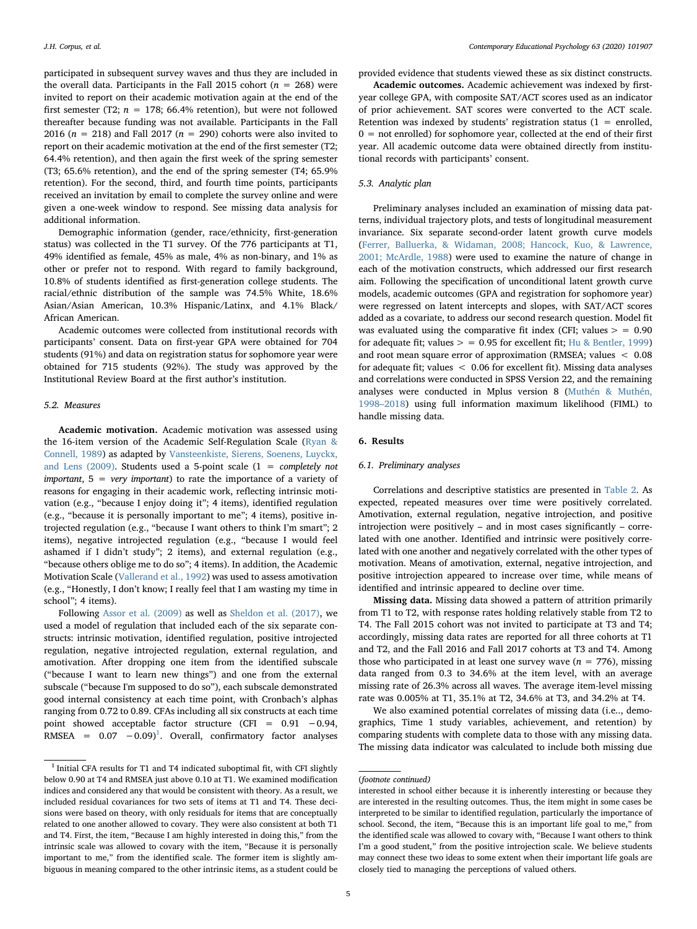participated in subsequent survey waves and thus they are included in the overall data. Participants in the Fall 2015 cohort ( $n = 268$ ) were invited to report on their academic motivation again at the end of the first semester (T2;  $n = 178$ ; 66.4% retention), but were not followed thereafter because funding was not available. Participants in the Fall 2016 ( $n = 218$ ) and Fall 2017 ( $n = 290$ ) cohorts were also invited to report on their academic motivation at the end of the first semester (T2; 64.4% retention), and then again the first week of the spring semester (T3; 65.6% retention), and the end of the spring semester (T4; 65.9% retention). For the second, third, and fourth time points, participants received an invitation by email to complete the survey online and were given a one-week window to respond. See missing data analysis for additional information.

Demographic information (gender, race/ethnicity, first-generation status) was collected in the T1 survey. Of the 776 participants at T1, 49% identified as female, 45% as male, 4% as non-binary, and 1% as other or prefer not to respond. With regard to family background, 10.8% of students identified as first-generation college students. The racial/ethnic distribution of the sample was 74.5% White, 18.6% Asian/Asian American, 10.3% Hispanic/Latinx, and 4.1% Black/ African American.

Academic outcomes were collected from institutional records with participants' consent. Data on first-year GPA were obtained for 704 students (91%) and data on registration status for sophomore year were obtained for 715 students (92%). The study was approved by the Institutional Review Board at the first author's institution.

### 5.2. Measures

Academic motivation. Academic motivation was assessed using the 16-item version of the Academic Self-Regulation Scale [\(Ryan &](#page-13-22) [Connell, 1989](#page-13-22)) as adapted by [Vansteenkiste, Sierens, Soenens, Luyckx,](#page-13-23) [and Lens \(2009\)](#page-13-23). Students used a 5-point scale ( $1 =$  completely not important,  $5 = \text{very important}$  to rate the importance of a variety of reasons for engaging in their academic work, reflecting intrinsic motivation (e.g., "because I enjoy doing it"; 4 items), identified regulation (e.g., "because it is personally important to me"; 4 items), positive introjected regulation (e.g., "because I want others to think I'm smart"; 2 items), negative introjected regulation (e.g., "because I would feel ashamed if I didn't study"; 2 items), and external regulation (e.g., "because others oblige me to do so"; 4 items). In addition, the Academic Motivation Scale [\(Vallerand et al., 1992](#page-13-24)) was used to assess amotivation (e.g., "Honestly, I don't know; I really feel that I am wasting my time in school"; 4 items).

Following [Assor et al. \(2009\)](#page-12-17) as well as [Sheldon et al. \(2017\)](#page-13-14), we used a model of regulation that included each of the six separate constructs: intrinsic motivation, identified regulation, positive introjected regulation, negative introjected regulation, external regulation, and amotivation. After dropping one item from the identified subscale ("because I want to learn new things") and one from the external subscale ("because I'm supposed to do so"), each subscale demonstrated good internal consistency at each time point, with Cronbach's alphas ranging from 0.72 to 0.89. CFAs including all six constructs at each time point showed acceptable factor structure (CFI = 0.91 −0.94, RMSEA =  $0.07 -0.09$ <sup>[1](#page-4-0)</sup>. Overall, confirmatory factor analyses

provided evidence that students viewed these as six distinct constructs.

Academic outcomes. Academic achievement was indexed by firstyear college GPA, with composite SAT/ACT scores used as an indicator of prior achievement. SAT scores were converted to the ACT scale. Retention was indexed by students' registration status  $(1 = \text{enrolled},$  $0 =$  not enrolled) for sophomore year, collected at the end of their first year. All academic outcome data were obtained directly from institutional records with participants' consent.

# 5.3. Analytic plan

Preliminary analyses included an examination of missing data patterns, individual trajectory plots, and tests of longitudinal measurement invariance. Six separate second-order latent growth curve models ([Ferrer, Balluerka, & Widaman, 2008; Hancock, Kuo, & Lawrence,](#page-12-20) [2001; McArdle, 1988](#page-12-20)) were used to examine the nature of change in each of the motivation constructs, which addressed our first research aim. Following the specification of unconditional latent growth curve models, academic outcomes (GPA and registration for sophomore year) were regressed on latent intercepts and slopes, with SAT/ACT scores added as a covariate, to address our second research question. Model fit was evaluated using the comparative fit index (CFI; values  $>$  = 0.90 for adequate fit; values  $>$  = 0.95 for excellent fit; [Hu & Bentler, 1999\)](#page-12-21) and root mean square error of approximation (RMSEA; values < 0.08 for adequate fit; values < 0.06 for excellent fit). Missing data analyses and correlations were conducted in SPSS Version 22, and the remaining analyses were conducted in Mplus version 8 ([Muthén & Muthén,](#page-13-25) 1998–[2018\)](#page-13-25) using full information maximum likelihood (FIML) to handle missing data.

# 6. Results

## 6.1. Preliminary analyses

Correlations and descriptive statistics are presented in [Table 2.](#page-5-0) As expected, repeated measures over time were positively correlated. Amotivation, external regulation, negative introjection, and positive introjection were positively – and in most cases significantly – correlated with one another. Identified and intrinsic were positively correlated with one another and negatively correlated with the other types of motivation. Means of amotivation, external, negative introjection, and positive introjection appeared to increase over time, while means of identified and intrinsic appeared to decline over time.

Missing data. Missing data showed a pattern of attrition primarily from T1 to T2, with response rates holding relatively stable from T2 to T4. The Fall 2015 cohort was not invited to participate at T3 and T4; accordingly, missing data rates are reported for all three cohorts at T1 and T2, and the Fall 2016 and Fall 2017 cohorts at T3 and T4. Among those who participated in at least one survey wave  $(n = 776)$ , missing data ranged from 0.3 to 34.6% at the item level, with an average missing rate of 26.3% across all waves. The average item-level missing rate was 0.005% at T1, 35.1% at T2, 34.6% at T3, and 34.2% at T4.

We also examined potential correlates of missing data (i.e.., demographics, Time 1 study variables, achievement, and retention) by comparing students with complete data to those with any missing data. The missing data indicator was calculated to include both missing due

<span id="page-4-0"></span> $1$  Initial CFA results for T1 and T4 indicated suboptimal fit, with CFI slightly below 0.90 at T4 and RMSEA just above 0.10 at T1. We examined modification indices and considered any that would be consistent with theory. As a result, we included residual covariances for two sets of items at T1 and T4. These decisions were based on theory, with only residuals for items that are conceptually related to one another allowed to covary. They were also consistent at both T1 and T4. First, the item, "Because I am highly interested in doing this," from the intrinsic scale was allowed to covary with the item, "Because it is personally important to me," from the identified scale. The former item is slightly ambiguous in meaning compared to the other intrinsic items, as a student could be

<sup>(</sup>footnote continued)

interested in school either because it is inherently interesting or because they are interested in the resulting outcomes. Thus, the item might in some cases be interpreted to be similar to identified regulation, particularly the importance of school. Second, the item, "Because this is an important life goal to me," from the identified scale was allowed to covary with, "Because I want others to think I'm a good student," from the positive introjection scale. We believe students may connect these two ideas to some extent when their important life goals are closely tied to managing the perceptions of valued others.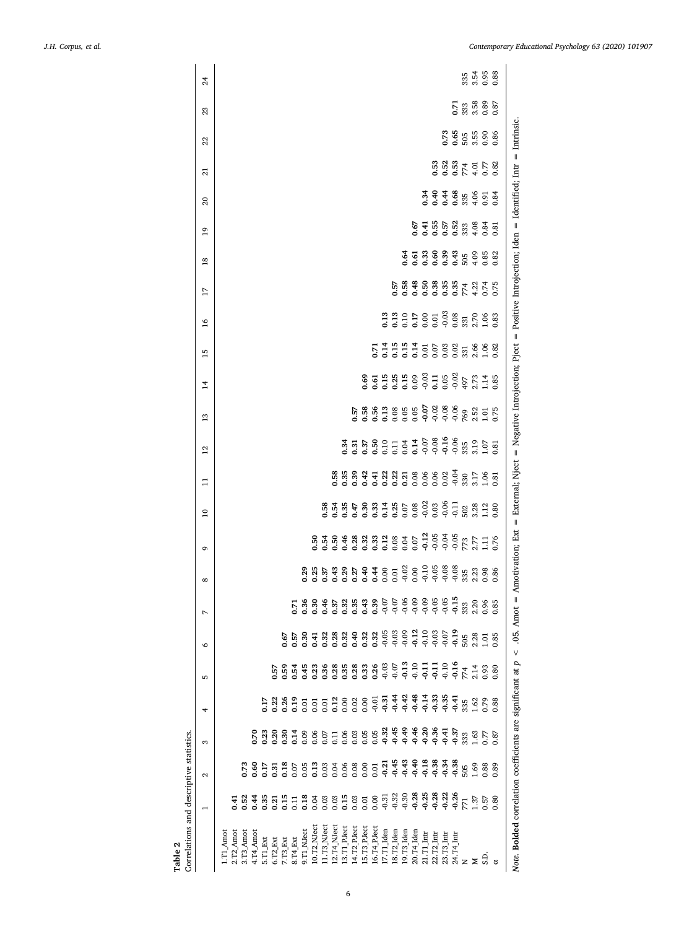<span id="page-5-0"></span>

| Correlations and descriptive statistics.<br>Table 2        |                 |                   |           |                  |                |                                                               |                            |              |                                                                                                                                |                                                |                     |                                                                           |                      |                                                                                                               |    |                                  |                                                                                                                                                                                                                   |                                    |                |                                      |                     |                      |                 |
|------------------------------------------------------------|-----------------|-------------------|-----------|------------------|----------------|---------------------------------------------------------------|----------------------------|--------------|--------------------------------------------------------------------------------------------------------------------------------|------------------------------------------------|---------------------|---------------------------------------------------------------------------|----------------------|---------------------------------------------------------------------------------------------------------------|----|----------------------------------|-------------------------------------------------------------------------------------------------------------------------------------------------------------------------------------------------------------------|------------------------------------|----------------|--------------------------------------|---------------------|----------------------|-----------------|
|                                                            | $\overline{ }$  | $\mathbf{\Omega}$ | 3         | 4                | LO.            | $\circ$                                                       | Z                          | ${}^{\circ}$ | G                                                                                                                              | $\overline{10}$                                | $\mathbf{1}$        | 12                                                                        | 13                   | $\overline{1}$                                                                                                | 15 | $\overline{17}$<br>$\frac{8}{1}$ | $\overline{18}$                                                                                                                                                                                                   | $\overline{1}$                     | $\overline{c}$ | $\overline{z}$                       | 22                  | 23                   | $\overline{24}$ |
| L.T1_Amo                                                   |                 |                   |           |                  |                |                                                               |                            |              |                                                                                                                                |                                                |                     |                                                                           |                      |                                                                                                               |    |                                  |                                                                                                                                                                                                                   |                                    |                |                                      |                     |                      |                 |
| $2.72$ Amot                                                | $-1$            |                   |           |                  |                |                                                               |                            |              |                                                                                                                                |                                                |                     |                                                                           |                      |                                                                                                               |    |                                  |                                                                                                                                                                                                                   |                                    |                |                                      |                     |                      |                 |
| 3.T3_Amot                                                  | 0.52            | 0.73              |           |                  |                |                                                               |                            |              |                                                                                                                                |                                                |                     |                                                                           |                      |                                                                                                               |    |                                  |                                                                                                                                                                                                                   |                                    |                |                                      |                     |                      |                 |
| 4.T4_Amot                                                  | 6.44            | 0.60              | 0.70      |                  |                |                                                               |                            |              |                                                                                                                                |                                                |                     |                                                                           |                      |                                                                                                               |    |                                  |                                                                                                                                                                                                                   |                                    |                |                                      |                     |                      |                 |
| 5.T1 Ext                                                   | 0.35            | 0.17              | $^{0.23}$ | 0.17             |                |                                                               |                            |              |                                                                                                                                |                                                |                     |                                                                           |                      |                                                                                                               |    |                                  |                                                                                                                                                                                                                   |                                    |                |                                      |                     |                      |                 |
| 6.T2_Ext                                                   | 0.21            | $\overline{5}$    | 0.20      | 0.22             | 0.57           |                                                               |                            |              |                                                                                                                                |                                                |                     |                                                                           |                      |                                                                                                               |    |                                  |                                                                                                                                                                                                                   |                                    |                |                                      |                     |                      |                 |
| $7. T3 \, {\rm Ext}$                                       | 0.15            | 0.18              | 0.30      | 0.26             | 0.59           | 0.67                                                          |                            |              |                                                                                                                                |                                                |                     |                                                                           |                      |                                                                                                               |    |                                  |                                                                                                                                                                                                                   |                                    |                |                                      |                     |                      |                 |
| $8. T4$ Ext                                                | $\overline{11}$ | $0.07$<br>0.05    | 0.14      | 0.19             | 0.54           | 0.57                                                          | 5.71                       |              |                                                                                                                                |                                                |                     |                                                                           |                      |                                                                                                               |    |                                  |                                                                                                                                                                                                                   |                                    |                |                                      |                     |                      |                 |
| 9.T1_NJect                                                 | 0.18            |                   | 0.09      | 0.01             | 0.45           | 0.30                                                          | 0.36                       |              |                                                                                                                                |                                                |                     |                                                                           |                      |                                                                                                               |    |                                  |                                                                                                                                                                                                                   |                                    |                |                                      |                     |                      |                 |
| $10.72$ MJect                                              |                 | 0.13              | 0.06      | 0.01             | 0.23           | 0.41                                                          | 5.0                        | 0.25<br>0.25 | 0.50                                                                                                                           |                                                |                     |                                                                           |                      |                                                                                                               |    |                                  |                                                                                                                                                                                                                   |                                    |                |                                      |                     |                      |                 |
| 11.T3_NJect                                                | 0.03            | 0.03              | 0.07      | 0.01             | 0.36           | 0.32                                                          | 0.46                       | 0.37         | 0.54                                                                                                                           | 0.58                                           |                     |                                                                           |                      |                                                                                                               |    |                                  |                                                                                                                                                                                                                   |                                    |                |                                      |                     |                      |                 |
| $12. T4$ <sub>-</sub> NJect                                | 0.03            | 0.04              | 0.11      |                  | 0.28           | 0.28                                                          | 0.37                       | 0.43         | 50.50                                                                                                                          |                                                | 0.58                |                                                                           |                      |                                                                                                               |    |                                  |                                                                                                                                                                                                                   |                                    |                |                                      |                     |                      |                 |
| 13.T1_PJect                                                | 0.15            | 0.06              | 0.06      | 0.12             | 0.35           | 0.32                                                          | 0.32                       | 23.57720     | 0.46                                                                                                                           | $0.54$<br>0.35                                 | 0.35                | 0.34                                                                      |                      |                                                                                                               |    |                                  |                                                                                                                                                                                                                   |                                    |                |                                      |                     |                      |                 |
| 14.T2_PJect                                                |                 | 0.08              | 0.03      | $0.02$<br>$0.00$ | 0.28           | 0.40                                                          | 0.35                       |              | 0.28                                                                                                                           | $0.47$<br>0.30                                 | 0.39                | 0.31                                                                      | 57                   |                                                                                                               |    |                                  |                                                                                                                                                                                                                   |                                    |                |                                      |                     |                      |                 |
| 15.T3_PJect                                                | 0.01            | 0.00              | 0.05      |                  | 0.33           | $0.32$<br>$0.32$<br>$0.5$<br>$0.5$<br>$0.3$<br>$0.5$<br>$0.5$ | $0.43$<br>$0.39$           |              |                                                                                                                                |                                                |                     | 0.37                                                                      |                      | 0.69                                                                                                          |    |                                  |                                                                                                                                                                                                                   |                                    |                |                                      |                     |                      |                 |
| $16. T4_PJect$                                             | 0.00            | 0.01              | 0.05      | $-0.01$          | 0.26           |                                                               |                            |              |                                                                                                                                |                                                |                     |                                                                           |                      |                                                                                                               |    |                                  |                                                                                                                                                                                                                   |                                    |                |                                      |                     |                      |                 |
| 17.T1_Iden                                                 |                 | $-0.21$           |           | $-0.31$          | $-0.03$        |                                                               |                            |              |                                                                                                                                |                                                |                     |                                                                           |                      |                                                                                                               |    | 0.13                             |                                                                                                                                                                                                                   |                                    |                |                                      |                     |                      |                 |
| 18.T2 Iden                                                 |                 | $-0.45$           |           | $-0.44$          | $-0.07$        |                                                               | 9<br>9<br>9<br>9<br>9<br>9 |              |                                                                                                                                |                                                |                     |                                                                           |                      |                                                                                                               |    |                                  | 0.57                                                                                                                                                                                                              |                                    |                |                                      |                     |                      |                 |
| 19.T3_Iden                                                 |                 | $-0.43$           |           | $-0.42$          | $-0.13$        |                                                               |                            |              |                                                                                                                                | $0.33$<br>$0.58$<br>$0.58$<br>$0.08$<br>$0.02$ | 277327288888        | <b>50</b><br>0.00 0.14 7 50<br>0.00 0.00 0.00 9.95<br>0.00 0.00 0.00 9.95 |                      | 5.5 3.5 3 3 3 5 5 6 6 9 6 7 7 8 9 6 7 7 8 9 6 7 7 8 9 6 7 7 8 9 6 7 7 8 9 6 7 7 8 9 6 7 7 8 9 7 7 7 8 9 7 7 7 |    | 0.13                             | 0.64<br>8<br>8<br>9<br>9<br>9<br>9<br>9<br>9<br>9<br>9<br>9<br>9<br>9<br>9<br>9<br>9<br>9<br>9<br>9<br>1<br>9<br>1<br>1<br>1<br>1<br>1<br>1<br>1<br>1<br>1<br>1<br>1<br>1<br>1<br>1<br>1<br>1<br>1<br>1<br>1<br>1 |                                    |                |                                      |                     |                      |                 |
| 20.T4_Iden                                                 | $-0.28$         | $-0.40$           |           | $-0.48$          | $-0.10$        | 0.12                                                          | $-0.09$                    | 0.00         |                                                                                                                                |                                                |                     |                                                                           |                      |                                                                                                               |    |                                  |                                                                                                                                                                                                                   | 0.67                               |                |                                      |                     |                      |                 |
| $21.T1$ Intr                                               | $-0.25$         | $-0.18$           | 0.20      | $-0.14$          | $\frac{11}{9}$ | 0.10                                                          | $-0.09$                    | 288          |                                                                                                                                |                                                |                     |                                                                           |                      |                                                                                                               |    |                                  | 5388<br>00000                                                                                                                                                                                                     | 0.41                               | 0.34           |                                      |                     |                      |                 |
| $22.T2$ Intr                                               | $-0.28$         | $-0.38$           | 0.36      | $-0.33$          | $\frac{11}{9}$ | 0.03                                                          | $-0.05$                    |              |                                                                                                                                | 0.03                                           |                     |                                                                           |                      |                                                                                                               |    |                                  |                                                                                                                                                                                                                   |                                    |                |                                      |                     |                      |                 |
| 23.T3_Intr                                                 | $-0.22$         | $-0.34$           | $-0.41$   | $-0.35$          | $-0.10$        | 0.07                                                          | $-0.05$                    |              |                                                                                                                                | $-0.06$                                        |                     |                                                                           |                      |                                                                                                               |    |                                  |                                                                                                                                                                                                                   |                                    |                |                                      |                     |                      |                 |
| 24.T4_Intr                                                 | 0.26            | $-0.38$           | 0.37      | $-0.41$          | 0.16           | 0.19                                                          | $\frac{15}{9}$             | $-0.08$      |                                                                                                                                | $-0.11$                                        | 0.04                |                                                                           |                      | 0.02                                                                                                          |    | 0.08                             |                                                                                                                                                                                                                   |                                    |                |                                      | 0.73<br>0.65<br>505 | $\overline{5}$       |                 |
| Z                                                          | 771             | 505               | 333       | 335              | 774            | 505                                                           | 333                        | 335          |                                                                                                                                |                                                | 330                 |                                                                           |                      | 497                                                                                                           |    |                                  |                                                                                                                                                                                                                   |                                    |                |                                      |                     |                      |                 |
| Σ                                                          | 1.37            | 1.69              | 1.63      | 1.62             | 2.14           | 2.28                                                          | 2.20                       | 2.23<br>0.98 |                                                                                                                                | 502<br>3.28<br>1.12                            | 3.17                | 3.19                                                                      | 2.52<br>1.01<br>0.75 | 2.73<br>1.14                                                                                                  |    | 331<br>2.70<br>1.06              | $0.43$<br>505 4.85<br>$0.35$<br>$774$<br>$6.74$<br>$0.75$                                                                                                                                                         | <b>5523</b><br><b>5523</b><br>5523 | 0.488880       | 53<br>535<br>774<br>538<br>782<br>53 | 3.55<br>0.90        | $33.3808$<br>$0.870$ | $33.54$ 6.88    |
| S.D.                                                       | 0.57            | 0.88              | 77        | 0.79             | 0.93           | $\tilde{\mathbf{c}}$                                          | 0.96                       |              |                                                                                                                                |                                                | $\frac{0.81}{0.81}$ | $1.07$<br>$0.31$                                                          |                      |                                                                                                               |    |                                  |                                                                                                                                                                                                                   |                                    |                |                                      |                     |                      |                 |
| ರ                                                          | 0.80            | 0.89              | 0.87      | 0.88             | 0.80           | 0.85                                                          | 0.85                       | 0.86         |                                                                                                                                | 0.80                                           |                     |                                                                           |                      | 0.85                                                                                                          |    | 0.83                             | 0.82                                                                                                                                                                                                              | 0.81                               | 0.84           |                                      | 0.86                |                      |                 |
| Note. Bolded correlation coefficients are significant at p |                 |                   |           |                  |                | $< .05$ . Amot =                                              |                            |              | Amotivation; Ext = External; Nject = Negative Introjection; Pject = Positive Introjection; Iden = Identified; Intr = Intrinsic |                                                |                     |                                                                           |                      |                                                                                                               |    |                                  |                                                                                                                                                                                                                   |                                    |                |                                      |                     |                      |                 |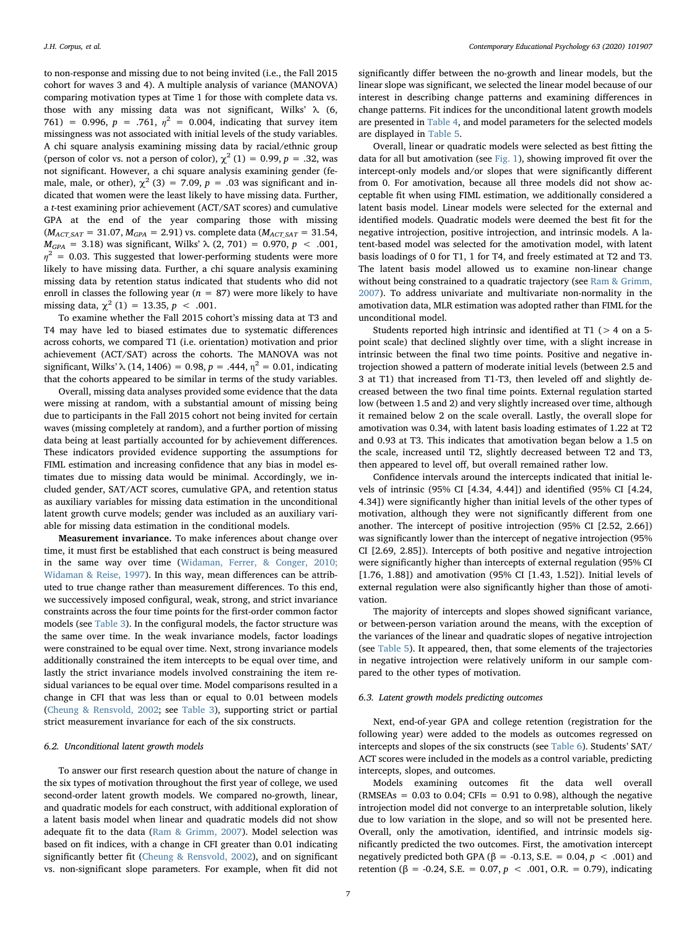to non-response and missing due to not being invited (i.e., the Fall 2015 cohort for waves 3 and 4). A multiple analysis of variance (MANOVA) comparing motivation types at Time 1 for those with complete data vs. those with any missing data was not significant, Wilks' λ (6, 761) = 0.996,  $p = .761$ ,  $\eta^2 = 0.004$ , indicating that survey item missingness was not associated with initial levels of the study variables. A chi square analysis examining missing data by racial/ethnic group (person of color vs. not a person of color),  $\chi^2$  (1) = 0.99, p = .32, was not significant. However, a chi square analysis examining gender (female, male, or other),  $\chi^2$  (3) = 7.09, p = .03 was significant and indicated that women were the least likely to have missing data. Further, a t-test examining prior achievement (ACT/SAT scores) and cumulative GPA at the end of the year comparing those with missing  $(M_{ACT\,SAT} = 31.07, M_{GPA} = 2.91)$  vs. complete data ( $M_{ACT\,SAT} = 31.54$ ,  $M_{GPA}$  = 3.18) was significant, Wilks'  $\lambda$  (2, 701) = 0.970, p < .001,  $\eta^2$  = 0.03. This suggested that lower-performing students were more likely to have missing data. Further, a chi square analysis examining missing data by retention status indicated that students who did not enroll in classes the following year ( $n = 87$ ) were more likely to have missing data,  $\chi^2$  (1) = 13.35, p < .001.

To examine whether the Fall 2015 cohort's missing data at T3 and T4 may have led to biased estimates due to systematic differences across cohorts, we compared T1 (i.e. orientation) motivation and prior achievement (ACT/SAT) across the cohorts. The MANOVA was not significant, Wilks'  $\lambda$  (14, 1406) = 0.98, p = .444,  $\eta^2$  = 0.01, indicating that the cohorts appeared to be similar in terms of the study variables.

Overall, missing data analyses provided some evidence that the data were missing at random, with a substantial amount of missing being due to participants in the Fall 2015 cohort not being invited for certain waves (missing completely at random), and a further portion of missing data being at least partially accounted for by achievement differences. These indicators provided evidence supporting the assumptions for FIML estimation and increasing confidence that any bias in model estimates due to missing data would be minimal. Accordingly, we included gender, SAT/ACT scores, cumulative GPA, and retention status as auxiliary variables for missing data estimation in the unconditional latent growth curve models; gender was included as an auxiliary variable for missing data estimation in the conditional models.

Measurement invariance. To make inferences about change over time, it must first be established that each construct is being measured in the same way over time ([Widaman, Ferrer, & Conger, 2010;](#page-14-2) [Widaman & Reise, 1997](#page-14-2)). In this way, mean differences can be attributed to true change rather than measurement differences. To this end, we successively imposed configural, weak, strong, and strict invariance constraints across the four time points for the first-order common factor models (see [Table 3](#page-7-0)). In the configural models, the factor structure was the same over time. In the weak invariance models, factor loadings were constrained to be equal over time. Next, strong invariance models additionally constrained the item intercepts to be equal over time, and lastly the strict invariance models involved constraining the item residual variances to be equal over time. Model comparisons resulted in a change in CFI that was less than or equal to 0.01 between models ([Cheung & Rensvold, 2002;](#page-12-22) see [Table 3](#page-7-0)), supporting strict or partial strict measurement invariance for each of the six constructs.

#### 6.2. Unconditional latent growth models

To answer our first research question about the nature of change in the six types of motivation throughout the first year of college, we used second-order latent growth models. We compared no-growth, linear, and quadratic models for each construct, with additional exploration of a latent basis model when linear and quadratic models did not show adequate fit to the data ([Ram & Grimm, 2007\)](#page-13-26). Model selection was based on fit indices, with a change in CFI greater than 0.01 indicating significantly better fit ([Cheung & Rensvold, 2002\)](#page-12-22), and on significant vs. non-significant slope parameters. For example, when fit did not

significantly differ between the no-growth and linear models, but the linear slope was significant, we selected the linear model because of our interest in describing change patterns and examining differences in change patterns. Fit indices for the unconditional latent growth models are presented in [Table 4,](#page-7-1) and model parameters for the selected models are displayed in [Table](#page-8-0) 5.

Overall, linear or quadratic models were selected as best fitting the data for all but amotivation (see [Fig. 1](#page-8-1)), showing improved fit over the intercept-only models and/or slopes that were significantly different from 0. For amotivation, because all three models did not show acceptable fit when using FIML estimation, we additionally considered a latent basis model. Linear models were selected for the external and identified models. Quadratic models were deemed the best fit for the negative introjection, positive introjection, and intrinsic models. A latent-based model was selected for the amotivation model, with latent basis loadings of 0 for T1, 1 for T4, and freely estimated at T2 and T3. The latent basis model allowed us to examine non-linear change without being constrained to a quadratic trajectory (see [Ram & Grimm,](#page-13-26) [2007\)](#page-13-26). To address univariate and multivariate non-normality in the amotivation data, MLR estimation was adopted rather than FIML for the unconditional model.

Students reported high intrinsic and identified at T1 ( $>$  4 on a 5point scale) that declined slightly over time, with a slight increase in intrinsic between the final two time points. Positive and negative introjection showed a pattern of moderate initial levels (between 2.5 and 3 at T1) that increased from T1-T3, then leveled off and slightly decreased between the two final time points. External regulation started low (between 1.5 and 2) and very slightly increased over time, although it remained below 2 on the scale overall. Lastly, the overall slope for amotivation was 0.34, with latent basis loading estimates of 1.22 at T2 and 0.93 at T3. This indicates that amotivation began below a 1.5 on the scale, increased until T2, slightly decreased between T2 and T3, then appeared to level off, but overall remained rather low.

Confidence intervals around the intercepts indicated that initial levels of intrinsic (95% CI [4.34, 4.44]) and identified (95% CI [4.24, 4.34]) were significantly higher than initial levels of the other types of motivation, although they were not significantly different from one another. The intercept of positive introjection (95% CI [2.52, 2.66]) was significantly lower than the intercept of negative introjection (95% CI [2.69, 2.85]). Intercepts of both positive and negative introjection were significantly higher than intercepts of external regulation (95% CI [1.76, 1.88]) and amotivation (95% CI [1.43, 1.52]). Initial levels of external regulation were also significantly higher than those of amotivation.

The majority of intercepts and slopes showed significant variance, or between-person variation around the means, with the exception of the variances of the linear and quadratic slopes of negative introjection (see [Table 5\)](#page-8-0). It appeared, then, that some elements of the trajectories in negative introjection were relatively uniform in our sample compared to the other types of motivation.

### 6.3. Latent growth models predicting outcomes

Next, end-of-year GPA and college retention (registration for the following year) were added to the models as outcomes regressed on intercepts and slopes of the six constructs (see [Table 6\)](#page-9-0). Students' SAT/ ACT scores were included in the models as a control variable, predicting intercepts, slopes, and outcomes.

Models examining outcomes fit the data well overall (RMSEAs =  $0.03$  to  $0.04$ ; CFIs = 0.91 to 0.98), although the negative introjection model did not converge to an interpretable solution, likely due to low variation in the slope, and so will not be presented here. Overall, only the amotivation, identified, and intrinsic models significantly predicted the two outcomes. First, the amotivation intercept negatively predicted both GPA (β = -0.13, S.E. = 0.04,  $p < .001$ ) and retention (β = -0.24, S.E. = 0.07,  $p$  < .001, O.R. = 0.79), indicating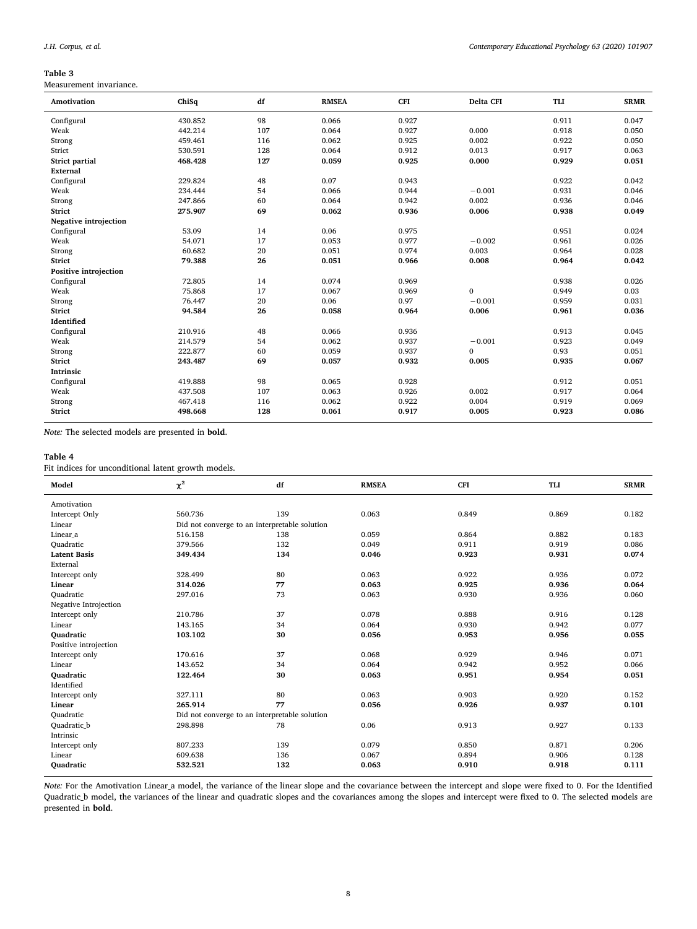# <span id="page-7-0"></span>Table 3

Measurement invariance.

| Amotivation           | ChiSq   | df  | <b>RMSEA</b> | CFI   | Delta CFI    | TLI   | <b>SRMR</b> |
|-----------------------|---------|-----|--------------|-------|--------------|-------|-------------|
| Configural            | 430.852 | 98  | 0.066        | 0.927 |              | 0.911 | 0.047       |
| Weak                  | 442.214 | 107 | 0.064        | 0.927 | 0.000        | 0.918 | 0.050       |
| Strong                | 459.461 | 116 | 0.062        | 0.925 | 0.002        | 0.922 | 0.050       |
| Strict                | 530.591 | 128 | 0.064        | 0.912 | 0.013        | 0.917 | 0.063       |
| <b>Strict partial</b> | 468.428 | 127 | 0.059        | 0.925 | 0.000        | 0.929 | 0.051       |
| External              |         |     |              |       |              |       |             |
| Configural            | 229.824 | 48  | 0.07         | 0.943 |              | 0.922 | 0.042       |
| Weak                  | 234.444 | 54  | 0.066        | 0.944 | $-0.001$     | 0.931 | 0.046       |
| Strong                | 247.866 | 60  | 0.064        | 0.942 | 0.002        | 0.936 | 0.046       |
| <b>Strict</b>         | 275.907 | 69  | 0.062        | 0.936 | 0.006        | 0.938 | 0.049       |
| Negative introjection |         |     |              |       |              |       |             |
| Configural            | 53.09   | 14  | 0.06         | 0.975 |              | 0.951 | 0.024       |
| Weak                  | 54.071  | 17  | 0.053        | 0.977 | $-0.002$     | 0.961 | 0.026       |
| Strong                | 60.682  | 20  | 0.051        | 0.974 | 0.003        | 0.964 | 0.028       |
| Strict                | 79.388  | 26  | 0.051        | 0.966 | 0.008        | 0.964 | 0.042       |
| Positive introjection |         |     |              |       |              |       |             |
| Configural            | 72.805  | 14  | 0.074        | 0.969 |              | 0.938 | 0.026       |
| Weak                  | 75.868  | 17  | 0.067        | 0.969 | $\mathbf{0}$ | 0.949 | 0.03        |
| Strong                | 76.447  | 20  | 0.06         | 0.97  | $-0.001$     | 0.959 | 0.031       |
| Strict                | 94.584  | 26  | 0.058        | 0.964 | 0.006        | 0.961 | 0.036       |
| Identified            |         |     |              |       |              |       |             |
| Configural            | 210.916 | 48  | 0.066        | 0.936 |              | 0.913 | 0.045       |
| Weak                  | 214.579 | 54  | 0.062        | 0.937 | $-0.001$     | 0.923 | 0.049       |
| Strong                | 222.877 | 60  | 0.059        | 0.937 | $\mathbf{0}$ | 0.93  | 0.051       |
| <b>Strict</b>         | 243.487 | 69  | 0.057        | 0.932 | 0.005        | 0.935 | 0.067       |
| Intrinsic             |         |     |              |       |              |       |             |
| Configural            | 419.888 | 98  | 0.065        | 0.928 |              | 0.912 | 0.051       |
| Weak                  | 437.508 | 107 | 0.063        | 0.926 | 0.002        | 0.917 | 0.064       |
| Strong                | 467.418 | 116 | 0.062        | 0.922 | 0.004        | 0.919 | 0.069       |
| Strict                | 498.668 | 128 | 0.061        | 0.917 | 0.005        | 0.923 | 0.086       |

Note: The selected models are presented in bold.

# <span id="page-7-1"></span>Table 4

Fit indices for unconditional latent growth models.

| Model                 | $\chi^2$                                      | df  | <b>RMSEA</b> | <b>CFI</b> | <b>TLI</b> | <b>SRMR</b> |
|-----------------------|-----------------------------------------------|-----|--------------|------------|------------|-------------|
| Amotivation           |                                               |     |              |            |            |             |
| Intercept Only        | 560.736                                       | 139 | 0.063        | 0.849      | 0.869      | 0.182       |
| Linear                | Did not converge to an interpretable solution |     |              |            |            |             |
| Linear a              | 516.158                                       | 138 | 0.059        | 0.864      | 0.882      | 0.183       |
| Quadratic             | 379.566                                       | 132 | 0.049        | 0.911      | 0.919      | 0.086       |
| <b>Latent Basis</b>   | 349.434                                       | 134 | 0.046        | 0.923      | 0.931      | 0.074       |
| External              |                                               |     |              |            |            |             |
| Intercept only        | 328.499                                       | 80  | 0.063        | 0.922      | 0.936      | 0.072       |
| Linear                | 314.026                                       | 77  | 0.063        | 0.925      | 0.936      | 0.064       |
| Ouadratic             | 297.016                                       | 73  | 0.063        | 0.930      | 0.936      | 0.060       |
| Negative Introjection |                                               |     |              |            |            |             |
| Intercept only        | 210.786                                       | 37  | 0.078        | 0.888      | 0.916      | 0.128       |
| Linear                | 143.165                                       | 34  | 0.064        | 0.930      | 0.942      | 0.077       |
| <b>Quadratic</b>      | 103.102                                       | 30  | 0.056        | 0.953      | 0.956      | 0.055       |
| Positive introjection |                                               |     |              |            |            |             |
| Intercept only        | 170.616                                       | 37  | 0.068        | 0.929      | 0.946      | 0.071       |
| Linear                | 143.652                                       | 34  | 0.064        | 0.942      | 0.952      | 0.066       |
| Ouadratic             | 122.464                                       | 30  | 0.063        | 0.951      | 0.954      | 0.051       |
| Identified            |                                               |     |              |            |            |             |
| Intercept only        | 327.111                                       | 80  | 0.063        | 0.903      | 0.920      | 0.152       |
| Linear                | 265.914                                       | 77  | 0.056        | 0.926      | 0.937      | 0.101       |
| Ouadratic             | Did not converge to an interpretable solution |     |              |            |            |             |
| Quadratic b           | 298.898                                       | 78  | 0.06         | 0.913      | 0.927      | 0.133       |
| Intrinsic             |                                               |     |              |            |            |             |
| Intercept only        | 807.233                                       | 139 | 0.079        | 0.850      | 0.871      | 0.206       |
| Linear                | 609.638                                       | 136 | 0.067        | 0.894      | 0.906      | 0.128       |
| Ouadratic             | 532.521                                       | 132 | 0.063        | 0.910      | 0.918      | 0.111       |

Note: For the Amotivation Linear a model, the variance of the linear slope and the covariance between the intercept and slope were fixed to 0. For the Identified Quadratic\_b model, the variances of the linear and quadratic slopes and the covariances among the slopes and intercept were fixed to 0. The selected models are presented in bold.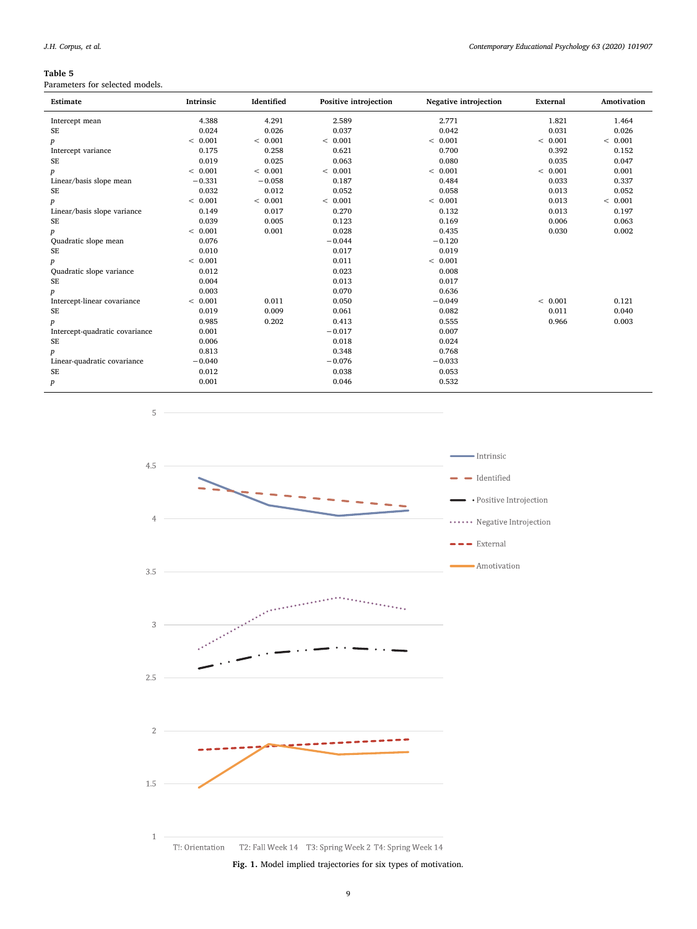# <span id="page-8-0"></span>Table 5

Parameters for selected models.

| Estimate                       | Intrinsic | Identified | Positive introjection | <b>Negative introjection</b> | External | Amotivation |
|--------------------------------|-----------|------------|-----------------------|------------------------------|----------|-------------|
| Intercept mean                 | 4.388     | 4.291      | 2.589                 | 2.771                        | 1.821    | 1.464       |
| <b>SE</b>                      | 0.024     | 0.026      | 0.037                 | 0.042                        | 0.031    | 0.026       |
| $\boldsymbol{p}$               | < 0.001   | < 0.001    | < 0.001               | < 0.001                      | < 0.001  | < 0.001     |
| Intercept variance             | 0.175     | 0.258      | 0.621                 | 0.700                        | 0.392    | 0.152       |
| <b>SE</b>                      | 0.019     | 0.025      | 0.063                 | 0.080                        | 0.035    | 0.047       |
| $\boldsymbol{p}$               | < 0.001   | < 0.001    | < 0.001               | < 0.001                      | < 0.001  | 0.001       |
| Linear/basis slope mean        | $-0.331$  | $-0.058$   | 0.187                 | 0.484                        | 0.033    | 0.337       |
| SE                             | 0.032     | 0.012      | 0.052                 | 0.058                        | 0.013    | 0.052       |
| $\boldsymbol{p}$               | < 0.001   | < 0.001    | < 0.001               | < 0.001                      | 0.013    | < 0.001     |
| Linear/basis slope variance    | 0.149     | 0.017      | 0.270                 | 0.132                        | 0.013    | 0.197       |
| SE                             | 0.039     | 0.005      | 0.123                 | 0.169                        | 0.006    | 0.063       |
| p                              | < 0.001   | 0.001      | 0.028                 | 0.435                        | 0.030    | 0.002       |
| Quadratic slope mean           | 0.076     |            | $-0.044$              | $-0.120$                     |          |             |
| SE                             | 0.010     |            | 0.017                 | 0.019                        |          |             |
| $\boldsymbol{p}$               | < 0.001   |            | 0.011                 | < 0.001                      |          |             |
| Quadratic slope variance       | 0.012     |            | 0.023                 | 0.008                        |          |             |
| SE                             | 0.004     |            | 0.013                 | 0.017                        |          |             |
| p                              | 0.003     |            | 0.070                 | 0.636                        |          |             |
| Intercept-linear covariance    | < 0.001   | 0.011      | 0.050                 | $-0.049$                     | < 0.001  | 0.121       |
| <b>SE</b>                      | 0.019     | 0.009      | 0.061                 | 0.082                        | 0.011    | 0.040       |
| p                              | 0.985     | 0.202      | 0.413                 | 0.555                        | 0.966    | 0.003       |
| Intercept-quadratic covariance | 0.001     |            | $-0.017$              | 0.007                        |          |             |
| SE                             | 0.006     |            | 0.018                 | 0.024                        |          |             |
| p                              | 0.813     |            | 0.348                 | 0.768                        |          |             |
| Linear-quadratic covariance    | $-0.040$  |            | $-0.076$              | $-0.033$                     |          |             |
| SE                             | 0.012     |            | 0.038                 | 0.053                        |          |             |
| $\boldsymbol{p}$               | 0.001     |            | 0.046                 | 0.532                        |          |             |

 $\sqrt{5}$ 

<span id="page-8-1"></span>

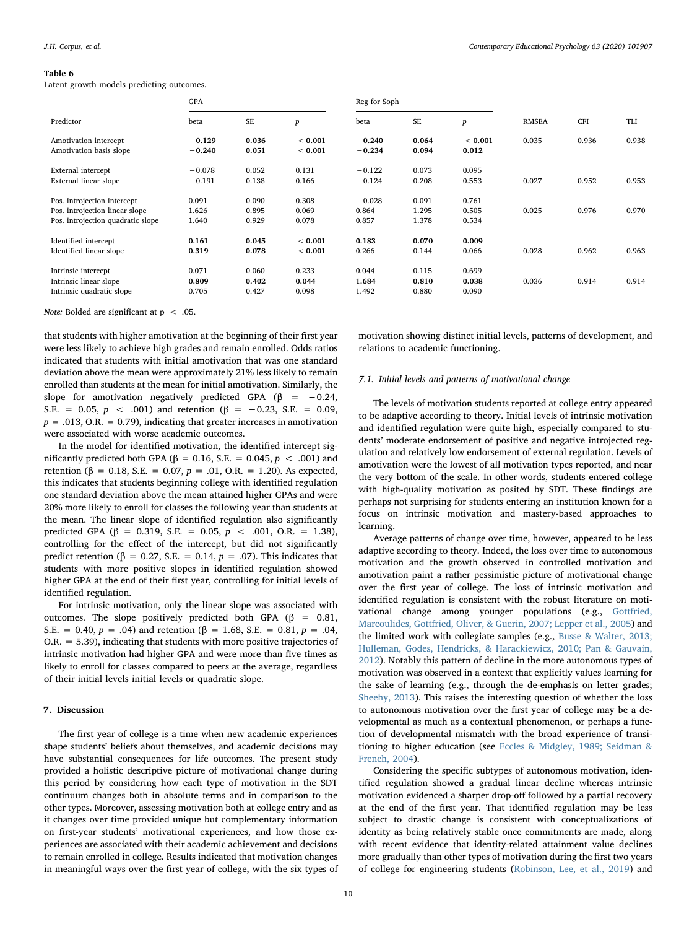#### <span id="page-9-0"></span>Table 6

Latent growth models predicting outcomes.

|                                                                                                    | <b>GPA</b>              |                         |                         | Reg for Soph               |                         |                         |              |       |       |
|----------------------------------------------------------------------------------------------------|-------------------------|-------------------------|-------------------------|----------------------------|-------------------------|-------------------------|--------------|-------|-------|
| Predictor                                                                                          | beta                    | <b>SE</b>               | $\boldsymbol{p}$        | beta                       | <b>SE</b>               | $\boldsymbol{p}$        | <b>RMSEA</b> | CFI   | TLI   |
| Amotivation intercept<br>Amotivation basis slope                                                   | $-0.129$<br>$-0.240$    | 0.036<br>0.051          | < 0.001<br>< 0.001      | $-0.240$<br>$-0.234$       | 0.064<br>0.094          | < 0.001<br>0.012        | 0.035        | 0.936 | 0.938 |
| External intercept<br>External linear slope                                                        | $-0.078$<br>$-0.191$    | 0.052<br>0.138          | 0.131<br>0.166          | $-0.122$<br>$-0.124$       | 0.073<br>0.208          | 0.095<br>0.553          | 0.027        | 0.952 | 0.953 |
| Pos. introjection intercept<br>Pos. introjection linear slope<br>Pos. introjection quadratic slope | 0.091<br>1.626<br>1.640 | 0.090<br>0.895<br>0.929 | 0.308<br>0.069<br>0.078 | $-0.028$<br>0.864<br>0.857 | 0.091<br>1.295<br>1.378 | 0.761<br>0.505<br>0.534 | 0.025        | 0.976 | 0.970 |
| Identified intercept<br>Identified linear slope                                                    | 0.161<br>0.319          | 0.045<br>0.078          | < 0.001<br>< 0.001      | 0.183<br>0.266             | 0.070<br>0.144          | 0.009<br>0.066          | 0.028        | 0.962 | 0.963 |
| Intrinsic intercept<br>Intrinsic linear slope<br>Intrinsic quadratic slope                         | 0.071<br>0.809<br>0.705 | 0.060<br>0.402<br>0.427 | 0.233<br>0.044<br>0.098 | 0.044<br>1.684<br>1.492    | 0.115<br>0.810<br>0.880 | 0.699<br>0.038<br>0.090 | 0.036        | 0.914 | 0.914 |

Note: Bolded are significant at  $p < .05$ .

that students with higher amotivation at the beginning of their first year were less likely to achieve high grades and remain enrolled. Odds ratios indicated that students with initial amotivation that was one standard deviation above the mean were approximately 21% less likely to remain enrolled than students at the mean for initial amotivation. Similarly, the slope for amotivation negatively predicted GPA ( $\beta$  = -0.24, S.E. = 0.05,  $p \lt 0.001$  and retention ( $\beta = -0.23$ , S.E. = 0.09,  $p = .013$ , O.R. = 0.79), indicating that greater increases in amotivation were associated with worse academic outcomes.

In the model for identified motivation, the identified intercept significantly predicted both GPA ( $\beta$  = 0.16, S.E. = 0.045,  $p < .001$ ) and retention (β = 0.18, S.E. = 0.07,  $p = .01$ , O.R. = 1.20). As expected, this indicates that students beginning college with identified regulation one standard deviation above the mean attained higher GPAs and were 20% more likely to enroll for classes the following year than students at the mean. The linear slope of identified regulation also significantly predicted GPA (β = 0.319, S.E. = 0.05,  $p$  < .001, O.R. = 1.38), controlling for the effect of the intercept, but did not significantly predict retention (β = 0.27, S.E. = 0.14,  $p = .07$ ). This indicates that students with more positive slopes in identified regulation showed higher GPA at the end of their first year, controlling for initial levels of identified regulation.

For intrinsic motivation, only the linear slope was associated with outcomes. The slope positively predicted both GPA (β =  $0.81$ , S.E. = 0.40,  $p = .04$ ) and retention ( $\beta = 1.68$ , S.E. = 0.81,  $p = .04$ , O.R. = 5.39), indicating that students with more positive trajectories of intrinsic motivation had higher GPA and were more than five times as likely to enroll for classes compared to peers at the average, regardless of their initial levels initial levels or quadratic slope.

# 7. Discussion

The first year of college is a time when new academic experiences shape students' beliefs about themselves, and academic decisions may have substantial consequences for life outcomes. The present study provided a holistic descriptive picture of motivational change during this period by considering how each type of motivation in the SDT continuum changes both in absolute terms and in comparison to the other types. Moreover, assessing motivation both at college entry and as it changes over time provided unique but complementary information on first-year students' motivational experiences, and how those experiences are associated with their academic achievement and decisions to remain enrolled in college. Results indicated that motivation changes in meaningful ways over the first year of college, with the six types of motivation showing distinct initial levels, patterns of development, and relations to academic functioning.

#### 7.1. Initial levels and patterns of motivational change

The levels of motivation students reported at college entry appeared to be adaptive according to theory. Initial levels of intrinsic motivation and identified regulation were quite high, especially compared to students' moderate endorsement of positive and negative introjected regulation and relatively low endorsement of external regulation. Levels of amotivation were the lowest of all motivation types reported, and near the very bottom of the scale. In other words, students entered college with high-quality motivation as posited by SDT. These findings are perhaps not surprising for students entering an institution known for a focus on intrinsic motivation and mastery-based approaches to learning.

Average patterns of change over time, however, appeared to be less adaptive according to theory. Indeed, the loss over time to autonomous motivation and the growth observed in controlled motivation and amotivation paint a rather pessimistic picture of motivational change over the first year of college. The loss of intrinsic motivation and identified regulation is consistent with the robust literature on motivational change among younger populations (e.g., [Gottfried,](#page-12-23) [Marcoulides, Gottfried, Oliver, & Guerin, 2007; Lepper et al., 2005\)](#page-12-23) and the limited work with collegiate samples (e.g., [Busse & Walter, 2013;](#page-12-9) [Hulleman, Godes, Hendricks, & Harackiewicz, 2010; Pan & Gauvain,](#page-12-9) [2012\)](#page-12-9). Notably this pattern of decline in the more autonomous types of motivation was observed in a context that explicitly values learning for the sake of learning (e.g., through the de-emphasis on letter grades; [Sheehy, 2013\)](#page-13-21). This raises the interesting question of whether the loss to autonomous motivation over the first year of college may be a developmental as much as a contextual phenomenon, or perhaps a function of developmental mismatch with the broad experience of transitioning to higher education (see [Eccles & Midgley, 1989; Seidman &](#page-12-24) [French, 2004\)](#page-12-24).

Considering the specific subtypes of autonomous motivation, identified regulation showed a gradual linear decline whereas intrinsic motivation evidenced a sharper drop-off followed by a partial recovery at the end of the first year. That identified regulation may be less subject to drastic change is consistent with conceptualizations of identity as being relatively stable once commitments are made, along with recent evidence that identity-related attainment value declines more gradually than other types of motivation during the first two years of college for engineering students [\(Robinson, Lee, et al., 2019](#page-13-2)) and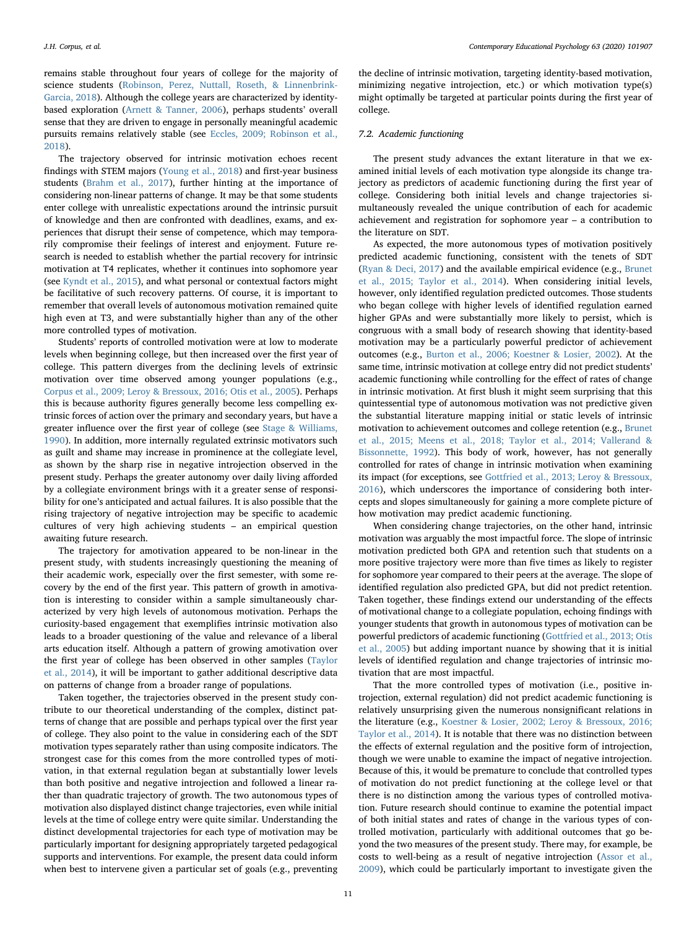remains stable throughout four years of college for the majority of science students ([Robinson, Perez, Nuttall, Roseth, & Linnenbrink-](#page-13-27)[Garcia, 2018\)](#page-13-27). Although the college years are characterized by identitybased exploration [\(Arnett & Tanner, 2006](#page-12-1)), perhaps students' overall sense that they are driven to engage in personally meaningful academic pursuits remains relatively stable (see [Eccles, 2009; Robinson et al.,](#page-12-25) [2018\)](#page-12-25).

The trajectory observed for intrinsic motivation echoes recent findings with STEM majors ([Young et al., 2018](#page-14-3)) and first-year business students ([Brahm et al., 2017\)](#page-12-10), further hinting at the importance of considering non-linear patterns of change. It may be that some students enter college with unrealistic expectations around the intrinsic pursuit of knowledge and then are confronted with deadlines, exams, and experiences that disrupt their sense of competence, which may temporarily compromise their feelings of interest and enjoyment. Future research is needed to establish whether the partial recovery for intrinsic motivation at T4 replicates, whether it continues into sophomore year (see [Kyndt et al., 2015\)](#page-13-10), and what personal or contextual factors might be facilitative of such recovery patterns. Of course, it is important to remember that overall levels of autonomous motivation remained quite high even at T3, and were substantially higher than any of the other more controlled types of motivation.

Students' reports of controlled motivation were at low to moderate levels when beginning college, but then increased over the first year of college. This pattern diverges from the declining levels of extrinsic motivation over time observed among younger populations (e.g., [Corpus et al., 2009; Leroy & Bressoux, 2016; Otis et al., 2005](#page-12-14)). Perhaps this is because authority figures generally become less compelling extrinsic forces of action over the primary and secondary years, but have a greater influence over the first year of college (see [Stage & Williams,](#page-13-28) [1990\)](#page-13-28). In addition, more internally regulated extrinsic motivators such as guilt and shame may increase in prominence at the collegiate level, as shown by the sharp rise in negative introjection observed in the present study. Perhaps the greater autonomy over daily living afforded by a collegiate environment brings with it a greater sense of responsibility for one's anticipated and actual failures. It is also possible that the rising trajectory of negative introjection may be specific to academic cultures of very high achieving students – an empirical question awaiting future research.

The trajectory for amotivation appeared to be non-linear in the present study, with students increasingly questioning the meaning of their academic work, especially over the first semester, with some recovery by the end of the first year. This pattern of growth in amotivation is interesting to consider within a sample simultaneously characterized by very high levels of autonomous motivation. Perhaps the curiosity-based engagement that exemplifies intrinsic motivation also leads to a broader questioning of the value and relevance of a liberal arts education itself. Although a pattern of growing amotivation over the first year of college has been observed in other samples ([Taylor](#page-13-12) [et al., 2014](#page-13-12)), it will be important to gather additional descriptive data on patterns of change from a broader range of populations.

Taken together, the trajectories observed in the present study contribute to our theoretical understanding of the complex, distinct patterns of change that are possible and perhaps typical over the first year of college. They also point to the value in considering each of the SDT motivation types separately rather than using composite indicators. The strongest case for this comes from the more controlled types of motivation, in that external regulation began at substantially lower levels than both positive and negative introjection and followed a linear rather than quadratic trajectory of growth. The two autonomous types of motivation also displayed distinct change trajectories, even while initial levels at the time of college entry were quite similar. Understanding the distinct developmental trajectories for each type of motivation may be particularly important for designing appropriately targeted pedagogical supports and interventions. For example, the present data could inform when best to intervene given a particular set of goals (e.g., preventing

the decline of intrinsic motivation, targeting identity-based motivation, minimizing negative introjection, etc.) or which motivation type(s) might optimally be targeted at particular points during the first year of college.

#### 7.2. Academic functioning

The present study advances the extant literature in that we examined initial levels of each motivation type alongside its change trajectory as predictors of academic functioning during the first year of college. Considering both initial levels and change trajectories simultaneously revealed the unique contribution of each for academic achievement and registration for sophomore year – a contribution to the literature on SDT.

As expected, the more autonomous types of motivation positively predicted academic functioning, consistent with the tenets of SDT ([Ryan & Deci, 2017](#page-13-29)) and the available empirical evidence (e.g., [Brunet](#page-12-11) [et al., 2015; Taylor et al., 2014\)](#page-12-11). When considering initial levels, however, only identified regulation predicted outcomes. Those students who began college with higher levels of identified regulation earned higher GPAs and were substantially more likely to persist, which is congruous with a small body of research showing that identity-based motivation may be a particularly powerful predictor of achievement outcomes (e.g., [Burton et al., 2006; Koestner & Losier, 2002\)](#page-12-18). At the same time, intrinsic motivation at college entry did not predict students' academic functioning while controlling for the effect of rates of change in intrinsic motivation. At first blush it might seem surprising that this quintessential type of autonomous motivation was not predictive given the substantial literature mapping initial or static levels of intrinsic motivation to achievement outcomes and college retention (e.g., [Brunet](#page-12-11) [et al., 2015; Meens et al., 2018; Taylor et al., 2014; Vallerand &](#page-12-11) [Bissonnette, 1992](#page-12-11)). This body of work, however, has not generally controlled for rates of change in intrinsic motivation when examining its impact (for exceptions, see [Gottfried et al., 2013; Leroy & Bressoux,](#page-12-12) [2016\)](#page-12-12), which underscores the importance of considering both intercepts and slopes simultaneously for gaining a more complete picture of how motivation may predict academic functioning.

When considering change trajectories, on the other hand, intrinsic motivation was arguably the most impactful force. The slope of intrinsic motivation predicted both GPA and retention such that students on a more positive trajectory were more than five times as likely to register for sophomore year compared to their peers at the average. The slope of identified regulation also predicted GPA, but did not predict retention. Taken together, these findings extend our understanding of the effects of motivational change to a collegiate population, echoing findings with younger students that growth in autonomous types of motivation can be powerful predictors of academic functioning ([Gottfried et al., 2013; Otis](#page-12-12) [et al., 2005](#page-12-12)) but adding important nuance by showing that it is initial levels of identified regulation and change trajectories of intrinsic motivation that are most impactful.

That the more controlled types of motivation (i.e., positive introjection, external regulation) did not predict academic functioning is relatively unsurprising given the numerous nonsignificant relations in the literature (e.g., [Koestner & Losier, 2002; Leroy & Bressoux, 2016;](#page-13-20) [Taylor et al., 2014](#page-13-20)). It is notable that there was no distinction between the effects of external regulation and the positive form of introjection, though we were unable to examine the impact of negative introjection. Because of this, it would be premature to conclude that controlled types of motivation do not predict functioning at the college level or that there is no distinction among the various types of controlled motivation. Future research should continue to examine the potential impact of both initial states and rates of change in the various types of controlled motivation, particularly with additional outcomes that go beyond the two measures of the present study. There may, for example, be costs to well-being as a result of negative introjection [\(Assor et al.,](#page-12-17) [2009\)](#page-12-17), which could be particularly important to investigate given the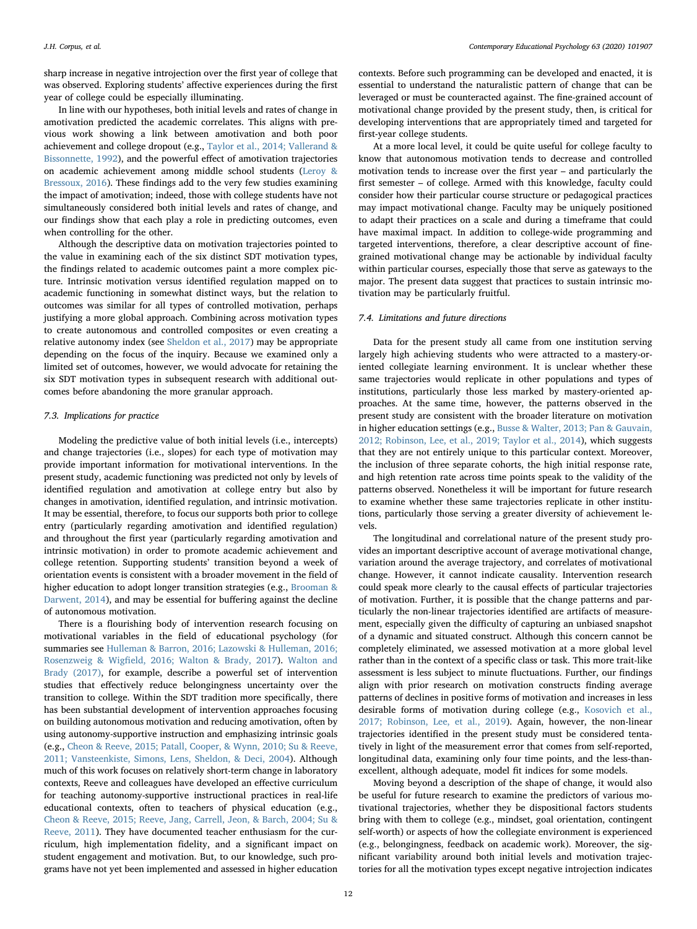J.H. Corpus, et al. *Contemporary Educational Psychology 63 (2020) 101907*

sharp increase in negative introjection over the first year of college that was observed. Exploring students' affective experiences during the first year of college could be especially illuminating.

In line with our hypotheses, both initial levels and rates of change in amotivation predicted the academic correlates. This aligns with previous work showing a link between amotivation and both poor achievement and college dropout (e.g., [Taylor et al., 2014; Vallerand &](#page-13-12) [Bissonnette, 1992\)](#page-13-12), and the powerful effect of amotivation trajectories on academic achievement among middle school students ([Leroy &](#page-13-19) [Bressoux, 2016](#page-13-19)). These findings add to the very few studies examining the impact of amotivation; indeed, those with college students have not simultaneously considered both initial levels and rates of change, and our findings show that each play a role in predicting outcomes, even when controlling for the other.

Although the descriptive data on motivation trajectories pointed to the value in examining each of the six distinct SDT motivation types, the findings related to academic outcomes paint a more complex picture. Intrinsic motivation versus identified regulation mapped on to academic functioning in somewhat distinct ways, but the relation to outcomes was similar for all types of controlled motivation, perhaps justifying a more global approach. Combining across motivation types to create autonomous and controlled composites or even creating a relative autonomy index (see [Sheldon et al., 2017\)](#page-13-14) may be appropriate depending on the focus of the inquiry. Because we examined only a limited set of outcomes, however, we would advocate for retaining the six SDT motivation types in subsequent research with additional outcomes before abandoning the more granular approach.

#### 7.3. Implications for practice

Modeling the predictive value of both initial levels (i.e., intercepts) and change trajectories (i.e., slopes) for each type of motivation may provide important information for motivational interventions. In the present study, academic functioning was predicted not only by levels of identified regulation and amotivation at college entry but also by changes in amotivation, identified regulation, and intrinsic motivation. It may be essential, therefore, to focus our supports both prior to college entry (particularly regarding amotivation and identified regulation) and throughout the first year (particularly regarding amotivation and intrinsic motivation) in order to promote academic achievement and college retention. Supporting students' transition beyond a week of orientation events is consistent with a broader movement in the field of higher education to adopt longer transition strategies (e.g., [Brooman &](#page-12-26) [Darwent, 2014](#page-12-26)), and may be essential for buffering against the decline of autonomous motivation.

There is a flourishing body of intervention research focusing on motivational variables in the field of educational psychology (for summaries see [Hulleman & Barron, 2016; Lazowski & Hulleman, 2016;](#page-12-27) Rosenzweig & Wigfi[eld, 2016; Walton & Brady, 2017\)](#page-12-27). [Walton and](#page-13-30) [Brady \(2017\)](#page-13-30), for example, describe a powerful set of intervention studies that effectively reduce belongingness uncertainty over the transition to college. Within the SDT tradition more specifically, there has been substantial development of intervention approaches focusing on building autonomous motivation and reducing amotivation, often by using autonomy-supportive instruction and emphasizing intrinsic goals (e.g., [Cheon & Reeve, 2015; Patall, Cooper, & Wynn, 2010; Su & Reeve,](#page-12-28) [2011; Vansteenkiste, Simons, Lens, Sheldon, & Deci, 2004\)](#page-12-28). Although much of this work focuses on relatively short-term change in laboratory contexts, Reeve and colleagues have developed an effective curriculum for teaching autonomy-supportive instructional practices in real-life educational contexts, often to teachers of physical education (e.g., [Cheon & Reeve, 2015; Reeve, Jang, Carrell, Jeon, & Barch, 2004; Su &](#page-12-28) [Reeve, 2011\)](#page-12-28). They have documented teacher enthusiasm for the curriculum, high implementation fidelity, and a significant impact on student engagement and motivation. But, to our knowledge, such programs have not yet been implemented and assessed in higher education

contexts. Before such programming can be developed and enacted, it is essential to understand the naturalistic pattern of change that can be leveraged or must be counteracted against. The fine-grained account of motivational change provided by the present study, then, is critical for developing interventions that are appropriately timed and targeted for first-year college students.

At a more local level, it could be quite useful for college faculty to know that autonomous motivation tends to decrease and controlled motivation tends to increase over the first year – and particularly the first semester – of college. Armed with this knowledge, faculty could consider how their particular course structure or pedagogical practices may impact motivational change. Faculty may be uniquely positioned to adapt their practices on a scale and during a timeframe that could have maximal impact. In addition to college-wide programming and targeted interventions, therefore, a clear descriptive account of finegrained motivational change may be actionable by individual faculty within particular courses, especially those that serve as gateways to the major. The present data suggest that practices to sustain intrinsic motivation may be particularly fruitful.

#### 7.4. Limitations and future directions

Data for the present study all came from one institution serving largely high achieving students who were attracted to a mastery-oriented collegiate learning environment. It is unclear whether these same trajectories would replicate in other populations and types of institutions, particularly those less marked by mastery-oriented approaches. At the same time, however, the patterns observed in the present study are consistent with the broader literature on motivation in higher education settings (e.g., [Busse & Walter, 2013; Pan & Gauvain,](#page-12-9) [2012; Robinson, Lee, et al., 2019; Taylor et al., 2014](#page-12-9)), which suggests that they are not entirely unique to this particular context. Moreover, the inclusion of three separate cohorts, the high initial response rate, and high retention rate across time points speak to the validity of the patterns observed. Nonetheless it will be important for future research to examine whether these same trajectories replicate in other institutions, particularly those serving a greater diversity of achievement levels.

The longitudinal and correlational nature of the present study provides an important descriptive account of average motivational change, variation around the average trajectory, and correlates of motivational change. However, it cannot indicate causality. Intervention research could speak more clearly to the causal effects of particular trajectories of motivation. Further, it is possible that the change patterns and particularly the non-linear trajectories identified are artifacts of measurement, especially given the difficulty of capturing an unbiased snapshot of a dynamic and situated construct. Although this concern cannot be completely eliminated, we assessed motivation at a more global level rather than in the context of a specific class or task. This more trait-like assessment is less subject to minute fluctuations. Further, our findings align with prior research on motivation constructs finding average patterns of declines in positive forms of motivation and increases in less desirable forms of motivation during college (e.g., [Kosovich et al.,](#page-13-3) [2017; Robinson, Lee, et al., 2019\)](#page-13-3). Again, however, the non-linear trajectories identified in the present study must be considered tentatively in light of the measurement error that comes from self-reported, longitudinal data, examining only four time points, and the less-thanexcellent, although adequate, model fit indices for some models.

Moving beyond a description of the shape of change, it would also be useful for future research to examine the predictors of various motivational trajectories, whether they be dispositional factors students bring with them to college (e.g., mindset, goal orientation, contingent self-worth) or aspects of how the collegiate environment is experienced (e.g., belongingness, feedback on academic work). Moreover, the significant variability around both initial levels and motivation trajectories for all the motivation types except negative introjection indicates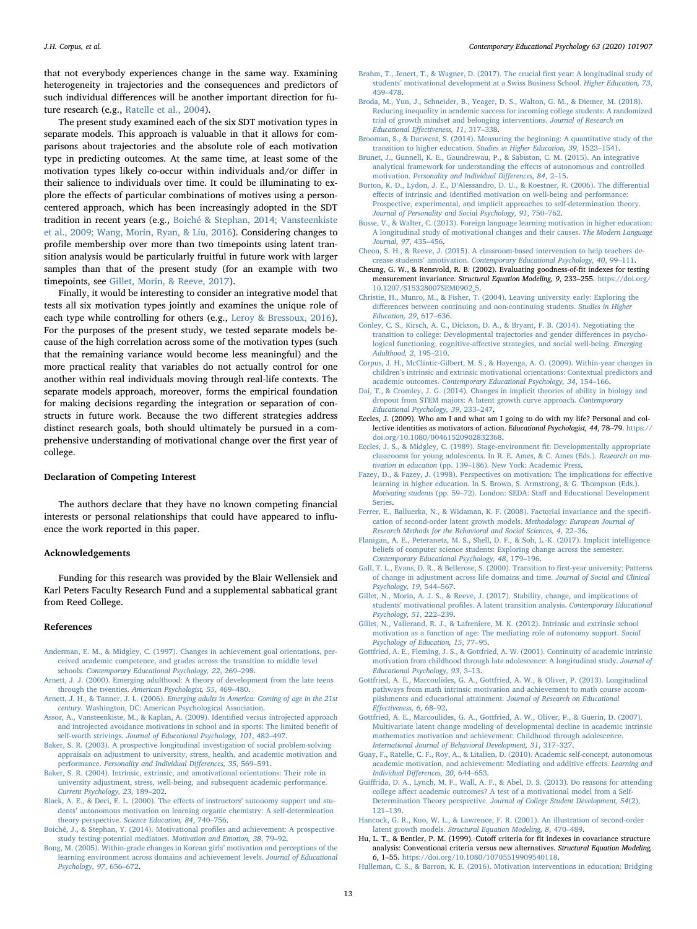that not everybody experiences change in the same way. Examining heterogeneity in trajectories and the consequences and predictors of such individual differences will be another important direction for future research (e.g., [Ratelle et al., 2004](#page-13-15)).

The present study examined each of the six SDT motivation types in separate models. This approach is valuable in that it allows for comparisons about trajectories and the absolute role of each motivation type in predicting outcomes. At the same time, at least some of the motivation types likely co-occur within individuals and/or differ in their salience to individuals over time. It could be illuminating to explore the effects of particular combinations of motives using a personcentered approach, which has been increasingly adopted in the SDT tradition in recent years (e.g., [Boiché & Stephan, 2014; Vansteenkiste](#page-12-29) [et al., 2009; Wang, Morin, Ryan, & Liu, 2016\)](#page-12-29). Considering changes to profile membership over more than two timepoints using latent transition analysis would be particularly fruitful in future work with larger samples than that of the present study (for an example with two timepoints, see [Gillet, Morin, & Reeve, 2017](#page-12-30)).

Finally, it would be interesting to consider an integrative model that tests all six motivation types jointly and examines the unique role of each type while controlling for others (e.g., [Leroy & Bressoux, 2016](#page-13-19)). For the purposes of the present study, we tested separate models because of the high correlation across some of the motivation types (such that the remaining variance would become less meaningful) and the more practical reality that variables do not actually control for one another within real individuals moving through real-life contexts. The separate models approach, moreover, forms the empirical foundation for making decisions regarding the integration or separation of constructs in future work. Because the two different strategies address distinct research goals, both should ultimately be pursued in a comprehensive understanding of motivational change over the first year of college.

# Declaration of Competing Interest

The authors declare that they have no known competing financial interests or personal relationships that could have appeared to influence the work reported in this paper.

# Acknowledgements

Funding for this research was provided by the Blair Wellensiek and Karl Peters Faculty Research Fund and a supplemental sabbatical grant from Reed College.

#### References

- <span id="page-12-5"></span>[Anderman, E. M., & Midgley, C. \(1997\). Changes in achievement goal orientations, per](http://refhub.elsevier.com/S0361-476X(20)30072-2/h0005)[ceived academic competence, and grades across the transition to middle level](http://refhub.elsevier.com/S0361-476X(20)30072-2/h0005) schools. [Contemporary Educational Psychology, 22](http://refhub.elsevier.com/S0361-476X(20)30072-2/h0005), 269–298.
- <span id="page-12-2"></span>[Arnett, J. J. \(2000\). Emerging adulthood: A theory of development from the late teens](http://refhub.elsevier.com/S0361-476X(20)30072-2/h0010) through the twenties. [American Psychologist, 55](http://refhub.elsevier.com/S0361-476X(20)30072-2/h0010), 469–480.
- <span id="page-12-1"></span>Arnett, J. H., & Tanner, J. L. (2006). [Emerging adults in America: Coming of age in the 21st](http://refhub.elsevier.com/S0361-476X(20)30072-2/h0015) century. [Washington, DC: American Psychological Association.](http://refhub.elsevier.com/S0361-476X(20)30072-2/h0015)
- <span id="page-12-17"></span>[Assor, A., Vansteenkiste, M., & Kaplan, A. \(2009\). Identi](http://refhub.elsevier.com/S0361-476X(20)30072-2/h0020)fied versus introjected approach [and introjected avoidance motivations in school and in sports: The limited bene](http://refhub.elsevier.com/S0361-476X(20)30072-2/h0020)fit of self-worth strivings. [Journal of Educational Psychology, 101](http://refhub.elsevier.com/S0361-476X(20)30072-2/h0020), 482–497.
- <span id="page-12-19"></span>[Baker, S. R. \(2003\). A prospective longitudinal investigation of social problem-solving](http://refhub.elsevier.com/S0361-476X(20)30072-2/h0025) [appraisals on adjustment to university, stress, health, and academic motivation and](http://refhub.elsevier.com/S0361-476X(20)30072-2/h0025) performance. [Personality and Individual Di](http://refhub.elsevier.com/S0361-476X(20)30072-2/h0025)fferences, 35, 569–591.
- <span id="page-12-13"></span>[Baker, S. R. \(2004\). Intrinsic, extrinsic, and amotivational orientations: Their role in](http://refhub.elsevier.com/S0361-476X(20)30072-2/h0030) [university adjustment, stress, well-being, and subsequent academic performance.](http://refhub.elsevier.com/S0361-476X(20)30072-2/h0030) [Current Psychology, 23](http://refhub.elsevier.com/S0361-476X(20)30072-2/h0030), 189–202.
- [Black, A. E., & Deci, E. L. \(2000\). The e](http://refhub.elsevier.com/S0361-476X(20)30072-2/h0035)ffects of instructors' autonomy support and students' [autonomous motivation on learning organic chemistry: A self-determination](http://refhub.elsevier.com/S0361-476X(20)30072-2/h0035) theory perspective. [Science Education, 84](http://refhub.elsevier.com/S0361-476X(20)30072-2/h0035), 740–756.
- <span id="page-12-29"></span>[Boiché, J., & Stephan, Y. \(2014\). Motivational pro](http://refhub.elsevier.com/S0361-476X(20)30072-2/h0040)files and achievement: A prospective [study testing potential mediators.](http://refhub.elsevier.com/S0361-476X(20)30072-2/h0040) Motivation and Emotion, 38, 79–92.
- <span id="page-12-6"></span>[Bong, M. \(2005\). Within-grade changes in Korean girls](http://refhub.elsevier.com/S0361-476X(20)30072-2/h0045)' motivation and perceptions of the [learning environment across domains and achievement levels.](http://refhub.elsevier.com/S0361-476X(20)30072-2/h0045) Journal of Educational [Psychology, 97](http://refhub.elsevier.com/S0361-476X(20)30072-2/h0045), 656–672.
- <span id="page-12-10"></span>[Brahm, T., Jenert, T., & Wagner, D. \(2017\). The crucial](http://refhub.elsevier.com/S0361-476X(20)30072-2/h0050) first year: A longitudinal study of students' [motivational development at a Swiss Business School.](http://refhub.elsevier.com/S0361-476X(20)30072-2/h0050) Higher Education, 73, 459–[478](http://refhub.elsevier.com/S0361-476X(20)30072-2/h0050).
- <span id="page-12-8"></span>[Broda, M., Yun, J., Schneider, B., Yeager, D. S., Walton, G. M., & Diemer, M. \(2018\).](http://refhub.elsevier.com/S0361-476X(20)30072-2/h0055) [Reducing inequality in academic success for incoming college students: A randomized](http://refhub.elsevier.com/S0361-476X(20)30072-2/h0055) [trial of growth mindset and belonging interventions.](http://refhub.elsevier.com/S0361-476X(20)30072-2/h0055) Journal of Research on [Educational E](http://refhub.elsevier.com/S0361-476X(20)30072-2/h0055)ffectiveness, 11, 317–338.
- <span id="page-12-26"></span>Brooman, [S., & Darwent, S. \(2014\). Measuring the beginning: A quantitative study of the](http://refhub.elsevier.com/S0361-476X(20)30072-2/h0060) [transition to higher education.](http://refhub.elsevier.com/S0361-476X(20)30072-2/h0060) Studies in Higher Education, 39, 1523–1541.
- <span id="page-12-11"></span>[Brunet, J., Gunnell, K. E., Gaundrewau, P., & Sabiston, C. M. \(2015\). An integrative](http://refhub.elsevier.com/S0361-476X(20)30072-2/h0065) [analytical framework for understanding the e](http://refhub.elsevier.com/S0361-476X(20)30072-2/h0065)ffects of autonomous and controlled motivation. [Personality and Individual Di](http://refhub.elsevier.com/S0361-476X(20)30072-2/h0065)fferences, 84, 2–15.
- <span id="page-12-18"></span>Burton, K. D., Lydon, J. E., D'[Alessandro, D. U., & Koestner, R. \(2006\). The di](http://refhub.elsevier.com/S0361-476X(20)30072-2/h0070)fferential effects of intrinsic and identifi[ed motivation on well-being and performance:](http://refhub.elsevier.com/S0361-476X(20)30072-2/h0070) [Prospective, experimental, and implicit approaches to self-determination theory.](http://refhub.elsevier.com/S0361-476X(20)30072-2/h0070) [Journal of Personality and Social Psychology, 91](http://refhub.elsevier.com/S0361-476X(20)30072-2/h0070), 750–762.
- <span id="page-12-9"></span>[Busse, V., & Walter, C. \(2013\). Foreign language learning motivation in higher education:](http://refhub.elsevier.com/S0361-476X(20)30072-2/h0075) [A longitudinal study of motivational changes and their causes.](http://refhub.elsevier.com/S0361-476X(20)30072-2/h0075) The Modern Language [Journal, 97](http://refhub.elsevier.com/S0361-476X(20)30072-2/h0075), 435–456.
- <span id="page-12-28"></span>[Cheon, S. H., & Reeve, J. \(2015\). A classroom-based intervention to help teachers de](http://refhub.elsevier.com/S0361-476X(20)30072-2/h0080)crease students' amotivation. [Contemporary Educational Psychology, 40](http://refhub.elsevier.com/S0361-476X(20)30072-2/h0080), 99–111.
- <span id="page-12-22"></span>Cheung, G. W., & Rensvold, R. B. (2002). Evaluating goodness-of-fit indexes for testing measurement invariance. Structural Equation Modeling, 9, 233–255. [https://doi.org/](https://doi.org/10.1207/S15328007SEM0902_5) [10.1207/S15328007SEM0902\\_5.](https://doi.org/10.1207/S15328007SEM0902_5)
- <span id="page-12-3"></span>[Christie, H., Munro, M., & Fisher, T. \(2004\). Leaving university early: Exploring the](http://refhub.elsevier.com/S0361-476X(20)30072-2/h0090) diff[erences between continuing and non-continuing students.](http://refhub.elsevier.com/S0361-476X(20)30072-2/h0090) Studies in Higher [Education, 29](http://refhub.elsevier.com/S0361-476X(20)30072-2/h0090), 617–636.
- <span id="page-12-0"></span>[Conley, C. S., Kirsch, A. C., Dickson, D. A., & Bryant, F. B. \(2014\). Negotiating the](http://refhub.elsevier.com/S0361-476X(20)30072-2/h0095) [transition to college: Developmental trajectories and gender di](http://refhub.elsevier.com/S0361-476X(20)30072-2/h0095)fferences in psychological functioning, cognitive-aff[ective strategies, and social well-being.](http://refhub.elsevier.com/S0361-476X(20)30072-2/h0095) Emerging [Adulthood, 2](http://refhub.elsevier.com/S0361-476X(20)30072-2/h0095), 195–210.
- <span id="page-12-14"></span>[Corpus, J. H., McClintic-Gilbert, M. S., & Hayenga, A. O. \(2009\). Within-year changes in](http://refhub.elsevier.com/S0361-476X(20)30072-2/h0100) children'[s intrinsic and extrinsic motivational orientations: Contextual predictors and](http://refhub.elsevier.com/S0361-476X(20)30072-2/h0100) academic outcomes. [Contemporary Educational Psychology, 34](http://refhub.elsevier.com/S0361-476X(20)30072-2/h0100), 154–166.
- <span id="page-12-7"></span>[Dai, T., & Cromley, J. G. \(2014\). Changes in implicit theories of ability in biology and](http://refhub.elsevier.com/S0361-476X(20)30072-2/h0105) [dropout from STEM majors: A latent growth curve approach.](http://refhub.elsevier.com/S0361-476X(20)30072-2/h0105) Contemporary Educational [Psychology, 39](http://refhub.elsevier.com/S0361-476X(20)30072-2/h0105), 233–247.
- <span id="page-12-25"></span>Eccles, J. (2009). Who am I and what am I going to do with my life? Personal and collective identities as motivators of action. Educational Psychologist, 44, 78–79. [https://](https://doi.org/10.1080/00461520902832368) [doi.org/10.1080/00461520902832368](https://doi.org/10.1080/00461520902832368).
- <span id="page-12-24"></span>[Eccles, J. S., & Midgley, C. \(1989\). Stage-environment](http://refhub.elsevier.com/S0361-476X(20)30072-2/h0115) fit: Developmentally appropriate [classrooms for young adolescents. In R. E. Ames, & C. Ames \(Eds.\).](http://refhub.elsevier.com/S0361-476X(20)30072-2/h0115) Research on motivation in education (pp. 139–[186\). New York: Academic Press.](http://refhub.elsevier.com/S0361-476X(20)30072-2/h0115)
- <span id="page-12-15"></span>[Fazey, D., & Fazey, J. \(1998\). Perspectives on motivation: The implications for e](http://refhub.elsevier.com/S0361-476X(20)30072-2/h0120)ffective [learning in higher education. In S. Brown, S. Armstrong, & G. Thompson \(Eds.\).](http://refhub.elsevier.com/S0361-476X(20)30072-2/h0120) Motivating students (pp. 59–72). London: SEDA: Staff [and Educational Development](http://refhub.elsevier.com/S0361-476X(20)30072-2/h0120) [Series](http://refhub.elsevier.com/S0361-476X(20)30072-2/h0120).
- <span id="page-12-20"></span>[Ferrer, E., Balluerka, N., & Widaman, K. F. \(2008\). Factorial invariance and the speci](http://refhub.elsevier.com/S0361-476X(20)30072-2/h0125)fi[cation of second-order latent growth models.](http://refhub.elsevier.com/S0361-476X(20)30072-2/h0125) Methodology: European Journal of [Research Methods for the Behavioral and Social Sciences, 4](http://refhub.elsevier.com/S0361-476X(20)30072-2/h0125), 22–36.
- [Flanigan, A. E., Peteranetz, M. S., Shell, D. F., & Soh, L.-K. \(2017\). Implicit intelligence](http://refhub.elsevier.com/S0361-476X(20)30072-2/h0130) [beliefs of computer science students: Exploring change across the semester.](http://refhub.elsevier.com/S0361-476X(20)30072-2/h0130) [Contemporary Educational Psychology, 48](http://refhub.elsevier.com/S0361-476X(20)30072-2/h0130), 179–196.
- [Gall, T. L., Evans, D. R., & Bellerose, S. \(2000\). Transition to](http://refhub.elsevier.com/S0361-476X(20)30072-2/h0135) first-year university: Patterns [of change in adjustment across life domains and time.](http://refhub.elsevier.com/S0361-476X(20)30072-2/h0135) Journal of Social and Clinical [Psychology, 19](http://refhub.elsevier.com/S0361-476X(20)30072-2/h0135), 544–567.
- <span id="page-12-30"></span>[Gillet, N., Morin, A. J. S., & Reeve, J. \(2017\). Stability, change, and implications of](http://refhub.elsevier.com/S0361-476X(20)30072-2/h0140) students' motivational profi[les. A latent transition analysis.](http://refhub.elsevier.com/S0361-476X(20)30072-2/h0140) Contemporary Educational [Psychology, 51](http://refhub.elsevier.com/S0361-476X(20)30072-2/h0140), 222–239.
- <span id="page-12-16"></span>[Gillet, N., Vallerand, R. J., & Lafreniere, M. K. \(2012\). Intrinsic and extrinsic school](http://refhub.elsevier.com/S0361-476X(20)30072-2/h0145) [motivation as a function of age: The mediating role of autonomy support.](http://refhub.elsevier.com/S0361-476X(20)30072-2/h0145) Social [Psychology of Education, 15](http://refhub.elsevier.com/S0361-476X(20)30072-2/h0145), 77–95.
- [Gottfried, A. E., Fleming, J. S., & Gottfried, A. W. \(2001\). Continuity of academic intrinsic](http://refhub.elsevier.com/S0361-476X(20)30072-2/h0150) [motivation from childhood through late adolescence: A longitudinal study.](http://refhub.elsevier.com/S0361-476X(20)30072-2/h0150) Journal of [Educational Psychology, 93](http://refhub.elsevier.com/S0361-476X(20)30072-2/h0150), 3–13.
- <span id="page-12-12"></span>[Gottfried, A. E., Marcoulides, G. A., Gottfried, A. W., & Oliver, P. \(2013\). Longitudinal](http://refhub.elsevier.com/S0361-476X(20)30072-2/h0155) [pathways from math intrinsic motivation and achievement to math course accom](http://refhub.elsevier.com/S0361-476X(20)30072-2/h0155)[plishments and educational attainment.](http://refhub.elsevier.com/S0361-476X(20)30072-2/h0155) Journal of Research on Educational Eff[ectiveness, 6](http://refhub.elsevier.com/S0361-476X(20)30072-2/h0155), 68–92.
- <span id="page-12-23"></span>Gottfried, [A. E., Marcoulides, G. A., Gottfried, A. W., Oliver, P., & Guerin, D. \(2007\).](http://refhub.elsevier.com/S0361-476X(20)30072-2/h0160) [Multivariate latent change modeling of developmental decline in academic intrinsic](http://refhub.elsevier.com/S0361-476X(20)30072-2/h0160) [mathematics motivation and achievement: Childhood through adolescence.](http://refhub.elsevier.com/S0361-476X(20)30072-2/h0160) [International Journal of Behavioral Development, 31](http://refhub.elsevier.com/S0361-476X(20)30072-2/h0160), 317–327.
- [Guay, F., Ratelle, C. F., Roy, A., & Litalien, D. \(2010\). Academic self-concept, autonomous](http://refhub.elsevier.com/S0361-476X(20)30072-2/h0165) [academic motivation, and achievement: Mediating and additive e](http://refhub.elsevier.com/S0361-476X(20)30072-2/h0165)ffects. Learning and [Individual Di](http://refhub.elsevier.com/S0361-476X(20)30072-2/h0165)fferences, 20, 644–653.
- <span id="page-12-4"></span>Guiff[rida, D. A., Lynch, M. F., Wall, A. F., & Abel, D. S. \(2013\). Do reasons for attending](http://refhub.elsevier.com/S0361-476X(20)30072-2/h0170) college aff[ect academic outcomes? A test of a motivational model from a Self-](http://refhub.elsevier.com/S0361-476X(20)30072-2/h0170)Determination Theory perspective. [Journal of College Student Development, 54](http://refhub.elsevier.com/S0361-476X(20)30072-2/h0170)(2), 121–[139](http://refhub.elsevier.com/S0361-476X(20)30072-2/h0170).
- [Hancock, G. R., Kuo, W. L., & Lawrence, F. R. \(2001\). An illustration of second-order](http://refhub.elsevier.com/S0361-476X(20)30072-2/h0175) latent growth models. [Structural Equation Modeling, 8](http://refhub.elsevier.com/S0361-476X(20)30072-2/h0175), 470–489.
- <span id="page-12-21"></span>Hu, L. T., & Bentler, P. M. (1999). Cutoff criteria for fit indexes in covariance structure analysis: Conventional criteria versus new alternatives. Structural Equation Modeling, 6, 1–55. [https://doi.org/10.1080/10705519909540118.](https://doi.org/10.1080/10705519909540118)
- <span id="page-12-27"></span>[Hulleman, C. S., & Barron, K. E. \(2016\). Motivation interventions in education: Bridging](http://refhub.elsevier.com/S0361-476X(20)30072-2/h0185)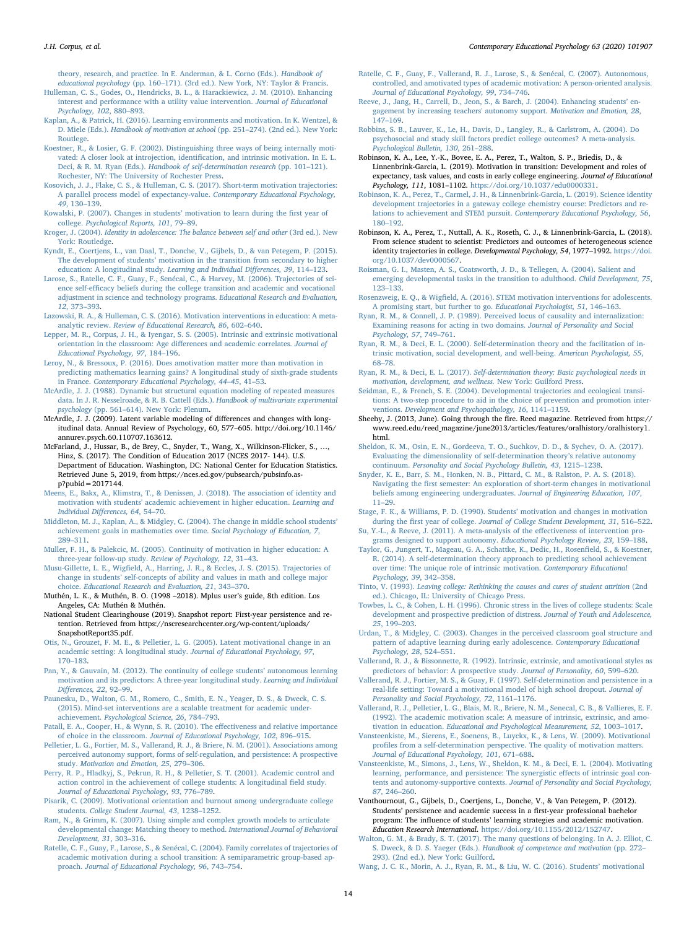J.H. Corpus, et al. *Contemporary Educational Psychology 63 (2020) 101907*

[theory, research, and practice. In E. Anderman, & L. Corno \(Eds.\).](http://refhub.elsevier.com/S0361-476X(20)30072-2/h0185) Handbook of educational psychology (pp. 160–[171\). \(3rd ed.\). New York, NY: Taylor & Francis.](http://refhub.elsevier.com/S0361-476X(20)30072-2/h0185)

- [Hulleman, C. S., Godes, O., Hendricks, B. L., & Harackiewicz, J. M. \(2010\). Enhancing](http://refhub.elsevier.com/S0361-476X(20)30072-2/h0190) [interest and performance with a utility value intervention.](http://refhub.elsevier.com/S0361-476X(20)30072-2/h0190) Journal of Educational [Psychology, 102](http://refhub.elsevier.com/S0361-476X(20)30072-2/h0190), 880–893.
- <span id="page-13-5"></span>[Kaplan, A., & Patrick, H. \(2016\). Learning environments and motivation. In K. Wentzel, &](http://refhub.elsevier.com/S0361-476X(20)30072-2/h0195) D. Miele (Eds.). [Handbook of motivation at school](http://refhub.elsevier.com/S0361-476X(20)30072-2/h0195) (pp. 251–274). (2nd ed.). New York: [Routlege](http://refhub.elsevier.com/S0361-476X(20)30072-2/h0195).
- <span id="page-13-20"></span>[Koestner, R., & Losier, G. F. \(2002\). Distinguishing three ways of being internally moti](http://refhub.elsevier.com/S0361-476X(20)30072-2/h0200)[vated: A closer look at introjection, identi](http://refhub.elsevier.com/S0361-476X(20)30072-2/h0200)fication, and intrinsic motivation. In E. L. Deci, & R. M. Ryan (Eds.). [Handbook of self-determination research](http://refhub.elsevier.com/S0361-476X(20)30072-2/h0200) (pp. 101–121). [Rochester, NY: The University of Rochester Press](http://refhub.elsevier.com/S0361-476X(20)30072-2/h0200).
- <span id="page-13-3"></span>[Kosovich, J. J., Flake, C. S., & Hulleman, C. S. \(2017\). Short-term motivation trajectories:](http://refhub.elsevier.com/S0361-476X(20)30072-2/h0205) [A parallel process model of expectancy-value.](http://refhub.elsevier.com/S0361-476X(20)30072-2/h0205) Contemporary Educational Psychology, 49[, 130](http://refhub.elsevier.com/S0361-476X(20)30072-2/h0205)–139.
- <span id="page-13-11"></span>[Kowalski, P. \(2007\). Changes in students](http://refhub.elsevier.com/S0361-476X(20)30072-2/h0210)' motivation to learn during the first year of college. [Psychological Reports, 101](http://refhub.elsevier.com/S0361-476X(20)30072-2/h0210), 79–89.
- Kroger, J. (2004). [Identity in adolescence: The balance between self and other](http://refhub.elsevier.com/S0361-476X(20)30072-2/h0215) (3rd ed.). New [York: Routledge](http://refhub.elsevier.com/S0361-476X(20)30072-2/h0215).
- <span id="page-13-10"></span>[Kyndt, E., Coertjens, L., van Daal, T., Donche, V., Gijbels, D., & van Petegem, P. \(2015\).](http://refhub.elsevier.com/S0361-476X(20)30072-2/h0220) The development of students' [motivation in the transition from secondary to higher](http://refhub.elsevier.com/S0361-476X(20)30072-2/h0220) [education: A longitudinal study.](http://refhub.elsevier.com/S0361-476X(20)30072-2/h0220) Learning and Individual Differences, 39, 114–123.
- [Larose, S., Ratelle, C. F., Guay, F., Senécal, C., & Harvey, M. \(2006\). Trajectories of sci](http://refhub.elsevier.com/S0361-476X(20)30072-2/h0225)ence self-effi[cacy beliefs during the college transition and academic and vocational](http://refhub.elsevier.com/S0361-476X(20)30072-2/h0225) [adjustment in science and technology programs.](http://refhub.elsevier.com/S0361-476X(20)30072-2/h0225) Educational Research and Evaluation, 12[, 373](http://refhub.elsevier.com/S0361-476X(20)30072-2/h0225)–393.
- [Lazowski, R. A., & Hulleman, C. S. \(2016\). Motivation interventions in education: A meta](http://refhub.elsevier.com/S0361-476X(20)30072-2/h0230)analytic review. [Review of Educational Research, 86](http://refhub.elsevier.com/S0361-476X(20)30072-2/h0230), 602–640.
- [Lepper, M. R., Corpus, J. H., & Iyengar, S. S. \(2005\). Intrinsic and extrinsic motivational](http://refhub.elsevier.com/S0361-476X(20)30072-2/h0235) [orientation in the classroom: Age di](http://refhub.elsevier.com/S0361-476X(20)30072-2/h0235)fferences and academic correlates. Journal of [Educational Psychology, 97](http://refhub.elsevier.com/S0361-476X(20)30072-2/h0235), 184–196.

<span id="page-13-19"></span>[Leroy, N., & Bressoux, P. \(2016\). Does amotivation matter more than motivation in](http://refhub.elsevier.com/S0361-476X(20)30072-2/h0240) [predicting mathematics learning gains? A longitudinal study of sixth-grade students](http://refhub.elsevier.com/S0361-476X(20)30072-2/h0240) in France. [Contemporary Educational Psychology, 44](http://refhub.elsevier.com/S0361-476X(20)30072-2/h0240)–45, 41–53.

[McArdle, J. J. \(1988\). Dynamic but structural equation modeling of repeated measures](http://refhub.elsevier.com/S0361-476X(20)30072-2/h0245) [data. In J. R. Nesselroade, & R. B. Cattell \(Eds.\).](http://refhub.elsevier.com/S0361-476X(20)30072-2/h0245) Handbook of multivariate experimental psychology (pp. 561–[614\). New York: Plenum.](http://refhub.elsevier.com/S0361-476X(20)30072-2/h0245)

<span id="page-13-7"></span>McArdle, J. J. (2009). Latent variable modeling of differences and changes with longitudinal data. Annual Review of Psychology, 60, 577–605. http://doi.org/10.1146/ annurev.psych.60.110707.163612.

- <span id="page-13-1"></span>McFarland, J., Hussar, B., de Brey, C., Snyder, T., Wang, X., Wilkinson-Flicker, S., …, Hinz, S. (2017). The Condition of Education 2017 (NCES 2017- 144). U.S. Department of Education. Washington, DC: National Center for Education Statistics. Retrieved June 5, 2019, from https://nces.ed.gov/pubsearch/pubsinfo.asp?pubid=2017144.
- <span id="page-13-16"></span>[Meens, E., Bakx, A., Klimstra, T., & Denissen, J. \(2018\). The association of identity and](http://refhub.elsevier.com/S0361-476X(20)30072-2/h0260) [motivation with students' academic achievement in higher education.](http://refhub.elsevier.com/S0361-476X(20)30072-2/h0260) Learning and [Individual Di](http://refhub.elsevier.com/S0361-476X(20)30072-2/h0260)fferences, 64, 54–70.
- [Middleton, M. J., Kaplan, A., & Midgley, C. \(2004\). The change in middle school students](http://refhub.elsevier.com/S0361-476X(20)30072-2/h0265)' [achievement goals in mathematics over time.](http://refhub.elsevier.com/S0361-476X(20)30072-2/h0265) Social Psychology of Education, 7, 289–[311](http://refhub.elsevier.com/S0361-476X(20)30072-2/h0265).
- <span id="page-13-6"></span>[Muller, F. H., & Palekcic, M. \(2005\). Continuity of motivation in higher education: A](http://refhub.elsevier.com/S0361-476X(20)30072-2/h0270) [three-year follow-up study.](http://refhub.elsevier.com/S0361-476X(20)30072-2/h0270) Review of Psychology, 12, 31–43.
- Musu-Gillette, L. E., Wigfi[eld, A., Harring, J. R., & Eccles, J. S. \(2015\). Trajectories of](http://refhub.elsevier.com/S0361-476X(20)30072-2/h0275) change in students' [self-concepts of ability and values in math and college major](http://refhub.elsevier.com/S0361-476X(20)30072-2/h0275) choice. [Educational Research and Evaluation, 21](http://refhub.elsevier.com/S0361-476X(20)30072-2/h0275), 343–370.
- <span id="page-13-25"></span>Muthén, L. K., & Muthén, B. O. (1998 –2018). Mplus user's guide, 8th edition. Los Angeles, CA: Muthén & Muthén.
- National Student Clearinghouse (2019). Snapshot report: First-year persistence and retention. Retrieved from https://nscresearchcenter.org/wp-content/uploads/ SnapshotReport35.pdf.
- <span id="page-13-9"></span>[Otis, N., Grouzet, F. M. E., & Pelletier, L. G. \(2005\). Latent motivational change in an](http://refhub.elsevier.com/S0361-476X(20)30072-2/h0290) [academic setting: A longitudinal study.](http://refhub.elsevier.com/S0361-476X(20)30072-2/h0290) Journal of Educational Psychology, 97, 170–[183](http://refhub.elsevier.com/S0361-476X(20)30072-2/h0290).
- <span id="page-13-13"></span>[Pan, Y., & Gauvain, M. \(2012\). The continuity of college students](http://refhub.elsevier.com/S0361-476X(20)30072-2/h0295)' autonomous learning [motivation and its predictors: A three-year longitudinal study.](http://refhub.elsevier.com/S0361-476X(20)30072-2/h0295) Learning and Individual Diff[erences, 22](http://refhub.elsevier.com/S0361-476X(20)30072-2/h0295), 92–99.
- [Paunesku, D., Walton, G. M., Romero, C., Smith, E. N., Yeager, D. S., & Dweck, C. S.](http://refhub.elsevier.com/S0361-476X(20)30072-2/h0300) [\(2015\). Mind-set interventions are a scalable treatment for academic under](http://refhub.elsevier.com/S0361-476X(20)30072-2/h0300)achievement. [Psychological Science, 26](http://refhub.elsevier.com/S0361-476X(20)30072-2/h0300), 784–793.
- Patall, [E. A., Cooper, H., & Wynn, S. R. \(2010\). The e](http://refhub.elsevier.com/S0361-476X(20)30072-2/h0305)ffectiveness and relative importance of choice in the classroom. [Journal of Educational Psychology, 102](http://refhub.elsevier.com/S0361-476X(20)30072-2/h0305), 896–915.
- <span id="page-13-17"></span>[Pelletier, L. G., Fortier, M. S., Vallerand, R. J., & Briere, N. M. \(2001\). Associations among](http://refhub.elsevier.com/S0361-476X(20)30072-2/h0310) [perceived autonomy support, forms of self-regulation, and persistence: A prospective](http://refhub.elsevier.com/S0361-476X(20)30072-2/h0310) study. [Motivation and Emotion, 25](http://refhub.elsevier.com/S0361-476X(20)30072-2/h0310), 279–306.
- [Perry, R. P., Hladkyj, S., Pekrun, R. H., & Pelletier, S. T. \(2001\). Academic control and](http://refhub.elsevier.com/S0361-476X(20)30072-2/h0315) [action control in the achievement of college students: A longitudinal](http://refhub.elsevier.com/S0361-476X(20)30072-2/h0315) field study. [Journal of Educational Psychology, 93](http://refhub.elsevier.com/S0361-476X(20)30072-2/h0315), 776–789.
- [Pisarik, C. \(2009\). Motivational orientation and burnout among undergraduate college](http://refhub.elsevier.com/S0361-476X(20)30072-2/h0320) students. [College Student Journal, 43](http://refhub.elsevier.com/S0361-476X(20)30072-2/h0320), 1238–1252.
- <span id="page-13-26"></span>[Ram, N., & Grimm, K. \(2007\). Using simple and complex growth models to articulate](http://refhub.elsevier.com/S0361-476X(20)30072-2/h0325) [developmental change: Matching theory to method.](http://refhub.elsevier.com/S0361-476X(20)30072-2/h0325) International Journal of Behavioral [Development, 31](http://refhub.elsevier.com/S0361-476X(20)30072-2/h0325), 303–316.
- <span id="page-13-15"></span>[Ratelle, C. F., Guay, F., Larose, S., & Senécal, C. \(2004\). Family correlates of trajectories of](http://refhub.elsevier.com/S0361-476X(20)30072-2/h0330) [academic motivation during a school transition: A semiparametric group-based ap](http://refhub.elsevier.com/S0361-476X(20)30072-2/h0330)proach. [Journal of Educational Psychology, 96](http://refhub.elsevier.com/S0361-476X(20)30072-2/h0330), 743–754.
- [Ratelle, C. F., Guay, F., Vallerand, R. J., Larose, S., & Senécal, C. \(2007\). Autonomous,](http://refhub.elsevier.com/S0361-476X(20)30072-2/h0335) [controlled, and amotivated types of academic motivation: A person-oriented analysis.](http://refhub.elsevier.com/S0361-476X(20)30072-2/h0335) [Journal of Educational Psychology, 99](http://refhub.elsevier.com/S0361-476X(20)30072-2/h0335), 734–746.
- [Reeve, J., Jang, H., Carrell, D., Jeon, S., & Barch, J. \(2004\). Enhancing students](http://refhub.elsevier.com/S0361-476X(20)30072-2/h0340)' en[gagement by increasing teachers' autonomy support.](http://refhub.elsevier.com/S0361-476X(20)30072-2/h0340) Motivation and Emotion, 28, 147–[169](http://refhub.elsevier.com/S0361-476X(20)30072-2/h0340).
- [Robbins, S. B., Lauver, K., Le, H., Davis, D., Langley, R., & Carlstrom, A. \(2004\). Do](http://refhub.elsevier.com/S0361-476X(20)30072-2/h0345) [psychosocial and study skill factors predict college outcomes? A meta-analysis.](http://refhub.elsevier.com/S0361-476X(20)30072-2/h0345) [Psychological Bulletin, 130](http://refhub.elsevier.com/S0361-476X(20)30072-2/h0345), 261–288.
- <span id="page-13-2"></span>Robinson, K. A., Lee, Y.-K., Bovee, E. A., Perez, T., Walton, S. P., Briedis, D., & Linnenbrink-Garcia, L. (2019). Motivation in transition: Development and roles of expectancy, task values, and costs in early college engineering. Journal of Educational Psychology, 111, 1081–1102. <https://doi.org/10.1037/edu0000331>.
- [Robinson, K. A., Perez, T., Carmel, J. H., & Linnenbrink-Garcia, L. \(2019\). Science identity](http://refhub.elsevier.com/S0361-476X(20)30072-2/h0355) [development trajectories in a gateway college chemistry course: Predictors and re](http://refhub.elsevier.com/S0361-476X(20)30072-2/h0355)[lations to achievement and STEM pursuit.](http://refhub.elsevier.com/S0361-476X(20)30072-2/h0355) Contemporary Educational Psychology, 56, 180–[192](http://refhub.elsevier.com/S0361-476X(20)30072-2/h0355).
- <span id="page-13-27"></span>Robinson, K. A., Perez, T., Nuttall, A. K., Roseth, C. J., & Linnenbrink-Garcia, L. (2018). From science student to scientist: Predictors and outcomes of heterogeneous science identity trajectories in college. Developmental Psychology, 54, 1977–1992. [https://doi.](https://doi.org/10.1037/dev0000567) [org/10.1037/dev0000567.](https://doi.org/10.1037/dev0000567)
- Roisman, [G. I., Masten, A. S., Coatsworth, J. D., & Tellegen, A. \(2004\). Salient and](http://refhub.elsevier.com/S0361-476X(20)30072-2/h0365) [emerging developmental tasks in the transition to adulthood.](http://refhub.elsevier.com/S0361-476X(20)30072-2/h0365) Child Development, 75, 123–[133](http://refhub.elsevier.com/S0361-476X(20)30072-2/h0365).
- Rosenzweig, E. Q., & Wigfi[eld, A. \(2016\). STEM motivation interventions for adolescents.](http://refhub.elsevier.com/S0361-476X(20)30072-2/h0370) [A promising start, but further to go.](http://refhub.elsevier.com/S0361-476X(20)30072-2/h0370) Educational Psychologist, 51, 146–163.
- <span id="page-13-22"></span>[Ryan, R. M., & Connell, J. P. \(1989\). Perceived locus of causality and internalization:](http://refhub.elsevier.com/S0361-476X(20)30072-2/h0375) [Examining reasons for acting in two domains.](http://refhub.elsevier.com/S0361-476X(20)30072-2/h0375) Journal of Personality and Social [Psychology, 57](http://refhub.elsevier.com/S0361-476X(20)30072-2/h0375), 749–761.
- <span id="page-13-8"></span>[Ryan, R. M., & Deci, E. L. \(2000\). Self-determination theory and the facilitation of in](http://refhub.elsevier.com/S0361-476X(20)30072-2/h0380)[trinsic motivation, social development, and well-being.](http://refhub.elsevier.com/S0361-476X(20)30072-2/h0380) American Psychologist, 55, 68–[78](http://refhub.elsevier.com/S0361-476X(20)30072-2/h0380).
- <span id="page-13-29"></span>Ryan, R. M., & Deci, E. L. (2017). [Self-determination theory: Basic psychological needs in](http://refhub.elsevier.com/S0361-476X(20)30072-2/h0385) [motivation, development, and wellness.](http://refhub.elsevier.com/S0361-476X(20)30072-2/h0385) New York: Guilford Press.
- [Seidman, E., & French, S. E. \(2004\). Developmental trajectories and ecological transi](http://refhub.elsevier.com/S0361-476X(20)30072-2/h0390)[tions: A two-step procedure to aid in the choice of prevention and promotion inter-](http://refhub.elsevier.com/S0361-476X(20)30072-2/h0390)ventions. [Development and Psychopathology, 16](http://refhub.elsevier.com/S0361-476X(20)30072-2/h0390), 1141-1159.
- <span id="page-13-21"></span>Sheehy, J. (2013, June). Going through the fire. Reed magazine. Retrieved from https:// www.reed.edu/reed\_magazine/june2013/articles/features/oralhistory/oralhistory1. html.
- <span id="page-13-14"></span>[Sheldon, K. M., Osin, E. N., Gordeeva, T. O., Suchkov, D. D., & Sychev, O. A. \(2017\).](http://refhub.elsevier.com/S0361-476X(20)30072-2/h0400) [Evaluating the dimensionality of self-determination theory](http://refhub.elsevier.com/S0361-476X(20)30072-2/h0400)'s relative autonomy continuum. [Personality and Social Psychology Bulletin, 43](http://refhub.elsevier.com/S0361-476X(20)30072-2/h0400), 1215–1238.
- [Snyder, K. E., Barr, S. M., Honken, N. B., Pittard, C. M., & Ralston, P. A. S. \(2018\).](http://refhub.elsevier.com/S0361-476X(20)30072-2/h0405) Navigating the fi[rst semester: An exploration of short-term changes in motivational](http://refhub.elsevier.com/S0361-476X(20)30072-2/h0405) [beliefs among engineering undergraduates.](http://refhub.elsevier.com/S0361-476X(20)30072-2/h0405) Journal of Engineering Education, 107, 11–[29](http://refhub.elsevier.com/S0361-476X(20)30072-2/h0405).
- <span id="page-13-28"></span>[Stage, F. K., & Williams, P. D. \(1990\). Students](http://refhub.elsevier.com/S0361-476X(20)30072-2/h0410)' motivation and changes in motivation during the first year of college. [Journal of College Student Development, 31](http://refhub.elsevier.com/S0361-476X(20)30072-2/h0410), 516–522.
- [Su, Y.-L., & Reeve, J. \(2011\). A meta-analysis of the e](http://refhub.elsevier.com/S0361-476X(20)30072-2/h0415)ffectiveness of intervention pro[grams designed to support autonomy.](http://refhub.elsevier.com/S0361-476X(20)30072-2/h0415) Educational Psychology Review, 23, 159–188.
- <span id="page-13-12"></span>[Taylor, G., Jungert, T., Mageau, G. A., Schattke, K., Dedic, H., Rosen](http://refhub.elsevier.com/S0361-476X(20)30072-2/h0420)field, S., & Koestner, [R. \(2014\). A self-determination theory approach to predicting school achievement](http://refhub.elsevier.com/S0361-476X(20)30072-2/h0420) [over time: The unique role of intrinsic motivation.](http://refhub.elsevier.com/S0361-476X(20)30072-2/h0420) Contemporary Educational [Psychology, 39](http://refhub.elsevier.com/S0361-476X(20)30072-2/h0420), 342–358.
- <span id="page-13-4"></span>Tinto, V. (1993). [Leaving college: Rethinking the causes and cures of student attrition](http://refhub.elsevier.com/S0361-476X(20)30072-2/h0425) (2nd [ed.\). Chicago, IL: University of Chicago Press](http://refhub.elsevier.com/S0361-476X(20)30072-2/h0425).
- <span id="page-13-0"></span>[Towbes, L. C., & Cohen, L. H. \(1996\). Chronic stress in the lives of college students: Scale](http://refhub.elsevier.com/S0361-476X(20)30072-2/h0430) [development and prospective prediction of distress.](http://refhub.elsevier.com/S0361-476X(20)30072-2/h0430) Journal of Youth and Adolescence, 25[, 199](http://refhub.elsevier.com/S0361-476X(20)30072-2/h0430)–203.
- [Urdan, T., & Midgley, C. \(2003\). Changes in the perceived classroom goal structure and](http://refhub.elsevier.com/S0361-476X(20)30072-2/h0435) [pattern of adaptive learning during early adolescence.](http://refhub.elsevier.com/S0361-476X(20)30072-2/h0435) Contemporary Educational [Psychology, 28](http://refhub.elsevier.com/S0361-476X(20)30072-2/h0435), 524–551.
- <span id="page-13-18"></span>[Vallerand, R. J., & Bissonnette, R. \(1992\). Intrinsic, extrinsic, and amotivational styles as](http://refhub.elsevier.com/S0361-476X(20)30072-2/h0440) [predictors of behavior: A prospective study.](http://refhub.elsevier.com/S0361-476X(20)30072-2/h0440) Journal of Personality, 60, 599–620.
- [Vallerand, R. J., Fortier, M. S., & Guay, F. \(1997\). Self-determination and persistence in a](http://refhub.elsevier.com/S0361-476X(20)30072-2/h0445) [real-life setting: Toward a motivational model of high school dropout.](http://refhub.elsevier.com/S0361-476X(20)30072-2/h0445) Journal of [Personality and Social Psychology, 72](http://refhub.elsevier.com/S0361-476X(20)30072-2/h0445), 1161–1176.
- <span id="page-13-24"></span>[Vallerand, R. J., Pelletier, L. G., Blais, M. R., Briere, N. M., Senecal, C. B., & Vallieres, E. F.](http://refhub.elsevier.com/S0361-476X(20)30072-2/h0450) [\(1992\). The academic motivation scale: A measure of intrinsic, extrinsic, and amo](http://refhub.elsevier.com/S0361-476X(20)30072-2/h0450)tivation in education. [Educational and Psychological Measurement, 52](http://refhub.elsevier.com/S0361-476X(20)30072-2/h0450), 1003–1017.
- <span id="page-13-23"></span>[Vansteenkiste, M., Sierens, E., Soenens, B., Luyckx, K., & Lens, W. \(2009\). Motivational](http://refhub.elsevier.com/S0361-476X(20)30072-2/h0455) profi[les from a self-determination perspective. The quality of motivation matters.](http://refhub.elsevier.com/S0361-476X(20)30072-2/h0455) [Journal of Educational Psychology, 101](http://refhub.elsevier.com/S0361-476X(20)30072-2/h0455), 671–688.
- [Vansteenkiste, M., Simons, J., Lens, W., Sheldon, K. M., & Deci, E. L. \(2004\). Motivating](http://refhub.elsevier.com/S0361-476X(20)30072-2/h0460) [learning, performance, and persistence: The synergistic e](http://refhub.elsevier.com/S0361-476X(20)30072-2/h0460)ffects of intrinsic goal contents and autonomy-supportive contexts. [Journal of Personality and Social Psychology,](http://refhub.elsevier.com/S0361-476X(20)30072-2/h0460) 87[, 246](http://refhub.elsevier.com/S0361-476X(20)30072-2/h0460)–260.
- Vanthournout, G., Gijbels, D., Coertjens, L., Donche, V., & Van Petegem, P. (2012). Students' persistence and academic success in a first-year professional bachelor program: The influence of students' learning strategies and academic motivation. Education Research International. <https://doi.org/10.1155/2012/152747>.
- <span id="page-13-30"></span>[Walton, G. M., & Brady, S. T. \(2017\). The many questions of belonging. In A. J. Elliot, C.](http://refhub.elsevier.com/S0361-476X(20)30072-2/h0470) S. Dweck, & D. S. Yaeger (Eds.). [Handbook of competence and motivation](http://refhub.elsevier.com/S0361-476X(20)30072-2/h0470) (pp. 272– [293\). \(2nd ed.\). New York: Guilford](http://refhub.elsevier.com/S0361-476X(20)30072-2/h0470).
- [Wang, J. C. K., Morin, A. J., Ryan, R. M., & Liu, W. C. \(2016\). Students](http://refhub.elsevier.com/S0361-476X(20)30072-2/h0475)' motivational